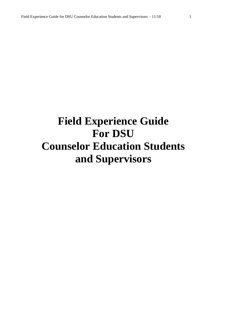# **Field Experience Guide For DSU Counselor Education Students and Supervisors**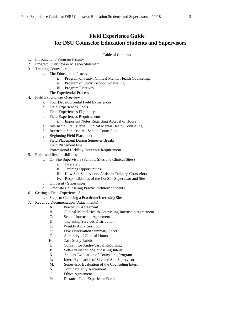# **Field Experience Guide for DSU Counselor Education Students and Supervisors**

#### Table of Contents

- 1. Introduction / Program Faculty
- 2. Program Overview & Mission Statement
- 3. Training Counselors
	- a. The Educational Process
		- i. Program of Study: Clinical Mental Health Counseling
		- ii. Program of Study: School Counseling
		- iii. Program Electives
	- b. The Experiential Process
- 4. Field Experiences Overview
	- a. Four Developmental Field Experiences
	- b. Field Experiences Goals
	- c. Field Experiences Eligibility
	- d. Field Experiences Requirements
		- i. Important Notes Regarding Accrual of Hours
	- e. Internship Site Criteria: Clinical Mental Health Counseling
	- f. Internship Site Criteria: School Counseling
	- g. Beginning Field Placement
	- h. Field Placement During Semester Breaks
	- i. Field Placement File
	- j. Professional Liability Insurance Requirement
- 5. Roles and Responsibilities
	- a. On-Site Supervisors (Schools Sites and Clinical Sites)
		- i. Overview
		- ii. Training Opportunities
		- iii. How Site Supervisors Assist in Training Counselors
		- iv. Responsibilities of the On-Site Supervisor and Site
		- b. University Supervisors
		- c. Graduate Counseling Practicum/Intern Students
- 6. Getting a Field Experience Site
	- a. Steps to Choosing a Practicum/Internship Site
- 7. Required Documentation (Attachments)
	- A: Practicum Agreement
	- B: Clinical Mental Health Counseling Internship Agreement
	- C: School Internship Agreement
	- D: Internship Services Distribution
	- E: Weekly Activities Log
	- F: Live Observation Summary Sheet
	- G: Summary of Clinical Hours
	- H: Case Study Rubric
	- I: Consent for Audio/Visual Recording
	- J: Self-Evaluation of Counseling Intern
	- K: Student Evaluation of Counseling Program
	- L: Intern Evaluation of Site and Site Supervisor
	- M: Supervisor Evaluation of the Counseling Intern
	- N: Confidentiality Agreement
	- O: Ethics Agreement
	- P: Distance Field Experience Form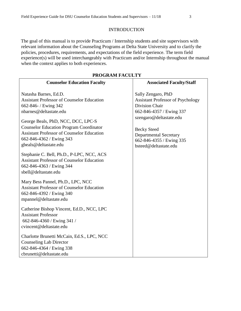#### INTRODUCTION

The goal of this manual is to provide Practicum / Internship students and site supervisors with relevant information about the Counseling Programs at Delta State University and to clarify the policies, procedures, requirements, and expectations of the field experience. The term field experience(s) will be used interchangeably with Practicum and/or Internship throughout the manual when the context applies to both experiences.

| <b>Counselor Education Faculty</b>                                                                                                                                                             | <b>Associated Faculty/Staff</b>                                                                                                     |
|------------------------------------------------------------------------------------------------------------------------------------------------------------------------------------------------|-------------------------------------------------------------------------------------------------------------------------------------|
| Natasha Barnes, Ed.D.<br><b>Assistant Professor of Counselor Education</b><br>662-846- / Ewing 342<br>nbarnes@deltastate.edu                                                                   | Sally Zengaro, PhD<br><b>Assistant Professor of Psychology</b><br><b>Division Chair</b><br>662-846-4357 / Ewing 337                 |
| George Beals, PhD, NCC, DCC, LPC-S<br><b>Counselor Education Program Coordinator</b><br><b>Assistant Professor of Counselor Education</b><br>662-846-4362 / Ewing 343<br>gbeals@deltastate.edu | szengaro@deltastate.edu<br><b>Becky Steed</b><br><b>Departmental Secretary</b><br>662-846-4355 / Ewing 335<br>bsteed@deltastate.edu |
| Stephanie C. Bell, Ph.D., P-LPC, NCC, ACS<br><b>Assistant Professor of Counselor Education</b><br>662-846-4363 / Ewing 344<br>sbell@deltastate.edu                                             |                                                                                                                                     |
| Mary Bess Pannel, Ph.D., LPC, NCC<br><b>Assistant Professor of Counselor Education</b><br>662-846-4392 / Ewing 340<br>mpannel@deltastate.edu                                                   |                                                                                                                                     |
| Catherine Bishop Vincent, Ed.D., NCC, LPC<br><b>Assistant Professor</b><br>662-846-4360 / Ewing 341 /<br>cvincent@deltastate.edu                                                               |                                                                                                                                     |
| Charlotte Brunetti McCain, Ed.S., LPC, NCC<br><b>Counseling Lab Director</b><br>662-846-4364 / Ewing 338<br>cbrunetti@deltastate.edu                                                           |                                                                                                                                     |

#### **PROGRAM FACULTY**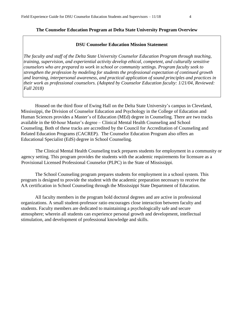#### **The Counselor Education Program at Delta State University Program Overview**

#### **DSU Counselor Education Mission Statement**

*The faculty and staff of the Delta State University Counselor Education Program through teaching, training, supervision, and experiential activity develop ethical, competent, and culturally sensitive counselors who are prepared to work in school or community settings. Program faculty seek to strengthen the profession by modeling for students the professional expectation of continued growth and learning, interpersonal awareness, and practical application of sound principles and practices in their work as professional counselors. (Adopted by Counselor Education faculty: 1/21/04, Reviewed: Fall 2018)* 

Housed on the third floor of Ewing Hall on the Delta State University's campus in Cleveland, Mississippi, the Division of Counselor Education and Psychology in the College of Education and Human Sciences provides a Master's of Education (MEd) degree in Counseling. There are two tracks available in the 60-hour Master's degree – Clinical Mental Health Counseling and School Counseling. Both of these tracks are accredited by the Council for Accreditation of Counseling and Related Education Programs (CACREP). The Counselor Education Program also offers an Educational Specialist (EdS) degree in School Counseling.

 The Clinical Mental Health Counseling track prepares students for employment in a community or agency setting. This program provides the students with the academic requirements for licensure as a Provisional Licensed Professional Counselor (PLPC) in the State of Mississippi.

The School Counseling program prepares students for employment in a school system. This program is designed to provide the student with the academic preparation necessary to receive the AA certification in School Counseling through the Mississippi State Department of Education.

All faculty members in the program hold doctoral degrees and are active in professional organizations. A small student-professor ratio encourages close interaction between faculty and students. Faculty members are dedicated to maintaining a psychologically safe and secure atmosphere; wherein all students can experience personal growth and development, intellectual stimulation, and development of professional knowledge and skills.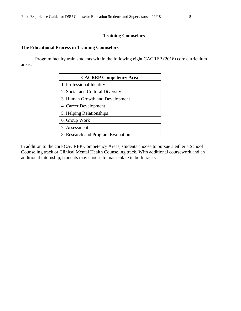#### **Training Counselors**

# **The Educational Process in Training Counselors**

Program faculty train students within the following eight CACREP (2016) core curriculum areas:

| <b>CACREP Competency Area</b>      |
|------------------------------------|
| 1. Professional Identity           |
| 2. Social and Cultural Diversity   |
| 3. Human Growth and Development    |
| 4. Career Development              |
| 5. Helping Relationships           |
| 6. Group Work                      |
| 7. Assessment                      |
| 8. Research and Program Evaluation |

In addition to the core CACREP Competency Areas, students choose to pursue a either a School Counseling track or Clinical Mental Health Counseling track. With additional coursework and an additional internship, students may choose to matriculate in both tracks.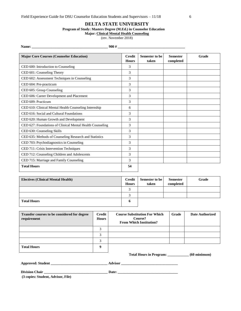#### **DELTA STATE UNIVERSITY**

#### **Program of Study: Masters Degree (M.Ed.) in Counselor Education**

#### **Major: Clinical Mental Health Counseling**

(rev. November 2018)

**Name: \_\_\_\_\_\_\_\_\_\_\_\_\_\_\_\_\_\_\_\_\_\_\_\_\_\_\_\_\_\_\_\_\_\_\_\_\_\_\_\_\_\_\_ 900 # \_\_\_\_\_\_\_\_\_\_\_\_\_\_\_\_\_\_\_\_\_\_\_\_\_\_\_\_\_\_\_\_\_\_\_\_\_\_** 

| <b>Major Core Courses (Counselor Education)</b>           | <b>Credit</b><br><b>Hours</b> | Semester to be<br>taken | <b>Semester</b><br>completed | Grade |
|-----------------------------------------------------------|-------------------------------|-------------------------|------------------------------|-------|
| CED 600: Introduction to Counseling                       | 3                             |                         |                              |       |
| CED 601: Counseling Theory                                | 3                             |                         |                              |       |
| CED 602: Assessment Techniques in Counseling              | 3                             |                         |                              |       |
| CED 604: Pre-practicum                                    | 3                             |                         |                              |       |
| CED 605: Group Counseling                                 | 3                             |                         |                              |       |
| CED 606: Career Development and Placement                 | 3                             |                         |                              |       |
| CED 609: Practicum                                        | 3                             |                         |                              |       |
| CED 610: Clinical Mental Health Counseling Internship     | 6                             |                         |                              |       |
| CED 616: Social and Cultural Foundations                  | 3                             |                         |                              |       |
| CED 620: Human Growth and Development                     | 3                             |                         |                              |       |
| CED 627: Foundations of Clinical Mental Health Counseling | 3                             |                         |                              |       |
| CED 630: Counseling Skills                                | 3                             |                         |                              |       |
| CED 635: Methods of Counseling Research and Statistics    | 3                             |                         |                              |       |
| CED 703: Psychodiagnostics in Counseling                  | 3                             |                         |                              |       |
| CED 711: Crisis Intervention Techniques                   | 3                             |                         |                              |       |
| CED 712: Counseling Children and Adolescents              | 3                             |                         |                              |       |
| CED 715: Marriage and Family Counseling                   | 3                             |                         |                              |       |
| <b>Total Hours</b>                                        | 54                            |                         |                              |       |

| <b>Electives (Clinical Mental Health)</b> | Credit<br><b>Hours</b> | Semester to be<br>taken | <b>Semester</b><br>completed | Grade |
|-------------------------------------------|------------------------|-------------------------|------------------------------|-------|
|                                           |                        |                         |                              |       |
|                                           |                        |                         |                              |       |
| <b>Total Hours</b>                        | o                      |                         |                              |       |

| Transfer courses to be considered for degree<br>requirement | Credit<br><b>Hours</b> | <b>Course Substitution For Which</b><br>Course?<br><b>From Which Institution?</b> | Grade | Date Authorized |
|-------------------------------------------------------------|------------------------|-----------------------------------------------------------------------------------|-------|-----------------|
|                                                             |                        |                                                                                   |       |                 |
|                                                             |                        |                                                                                   |       |                 |
|                                                             | ◠                      |                                                                                   |       |                 |
| <b>Total Hours</b>                                          | q                      |                                                                                   |       |                 |

 **Total Hours in Program: \_\_\_\_\_\_\_\_\_\_\_\_ (60 minimum)** 

**Division Chair \_\_\_\_\_\_\_\_\_\_\_\_\_\_\_\_\_\_\_\_\_\_\_\_\_\_\_\_\_\_\_\_\_\_\_\_ Date: \_\_\_\_\_\_\_\_\_\_\_\_\_\_\_\_\_\_\_\_\_\_\_\_\_\_\_\_\_\_\_\_\_\_** 

**(3 copies: Student, Advisor, File)**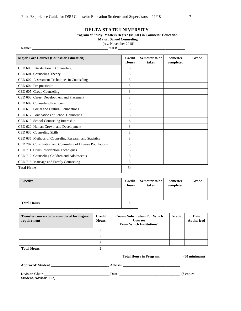#### **DELTA STATE UNIVERSITY**

#### **Program of Study: Masters Degree (M.Ed.) in Counselor Education**

**Major: School Counseling**

(rev. November 2018)

**Name: \_\_\_\_\_\_\_\_\_\_\_\_\_\_\_\_\_\_\_\_\_\_\_\_\_\_\_\_\_\_\_\_\_\_\_\_\_\_\_\_\_\_\_ 900 # \_\_\_\_\_\_\_\_\_\_\_\_\_\_\_\_\_\_\_\_\_\_\_\_\_\_\_\_\_\_\_\_\_\_\_\_\_\_** 

| <b>Major Core Courses (Counselor Education)</b>             | <b>Credit</b><br><b>Hours</b> | Semester to be<br>taken | <b>Semester</b><br>completed | Grade |
|-------------------------------------------------------------|-------------------------------|-------------------------|------------------------------|-------|
| CED 600: Introduction to Counseling                         | 3                             |                         |                              |       |
| CED 601: Counseling Theory                                  | 3                             |                         |                              |       |
| CED 602: Assessment Techniques in Counseling                | 3                             |                         |                              |       |
| CED 604: Pre-practicum                                      | 3                             |                         |                              |       |
| CED 605: Group Counseling                                   | 3                             |                         |                              |       |
| CED 606: Career Development and Placement                   | 3                             |                         |                              |       |
| CED 609: Counseling Practicum                               | 3                             |                         |                              |       |
| CED 616: Social and Cultural Foundations                    | 3                             |                         |                              |       |
| CED 617: Foundations of School Counseling                   | 3                             |                         |                              |       |
| CED 619: School Counseling Internship                       | 6                             |                         |                              |       |
| CED 620: Human Growth and Development                       | 3                             |                         |                              |       |
| CED 630: Counseling Skills                                  | 3                             |                         |                              |       |
| CED 635: Methods of Counseling Research and Statistics      | 3                             |                         |                              |       |
| CED 707: Consultation and Counseling of Diverse Populations | 3                             |                         |                              |       |
| CED 711: Crisis Intervention Techniques                     | 3                             |                         |                              |       |
| CED 712: Counseling Children and Adolescents                | 3                             |                         |                              |       |
| CED 715: Marriage and Family Counseling                     | 3                             |                         |                              |       |
| <b>Total Hours</b>                                          | 54                            |                         |                              |       |

| Elective           | <b>Credit</b><br><b>Hours</b> | Semester to be<br>taken | <b>Semester</b><br>completed | Grade |
|--------------------|-------------------------------|-------------------------|------------------------------|-------|
|                    |                               |                         |                              |       |
|                    |                               |                         |                              |       |
| <b>Total Hours</b> | o                             |                         |                              |       |

| Transfer courses to be considered for degree<br>requirement | Credit<br><b>Hours</b> | <b>Course Substitution For Which</b><br>Course?<br><b>From Which Institution?</b> | Grade | Date<br><b>Authorized</b> |
|-------------------------------------------------------------|------------------------|-----------------------------------------------------------------------------------|-------|---------------------------|
|                                                             |                        |                                                                                   |       |                           |
|                                                             | 2                      |                                                                                   |       |                           |
|                                                             |                        |                                                                                   |       |                           |
| <b>Total Hours</b>                                          |                        |                                                                                   |       |                           |

**Total Hours in Program: \_\_\_\_\_\_\_\_\_\_\_\_ (60 minimum)** 

**Approved: Student \_\_\_\_\_\_\_\_\_\_\_\_\_\_\_\_\_\_\_\_\_\_\_\_\_\_\_\_\_\_\_\_\_ Advisor \_\_\_\_\_\_\_\_\_\_\_\_\_\_\_\_\_\_\_\_\_\_\_\_\_\_\_\_\_\_\_\_** 

**Division Chair \_\_\_\_\_\_\_\_\_\_\_\_\_\_\_\_\_\_\_\_\_\_\_\_\_\_\_\_\_\_\_\_\_\_\_\_\_ Date: \_\_\_\_\_\_\_\_\_\_\_\_\_\_\_\_\_\_\_\_\_\_\_\_\_\_\_\_\_\_\_\_\_\_ (3 copies:** 

**Student, Advisor, File)**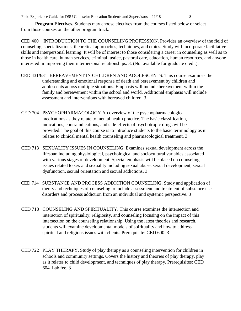**Program Electives.** Students may choose electives from the courses listed below or select from those courses on the other program track.

CED 400 INTRODUCTION TO THE COUNSELING PROFESSION. Provides an overview of the field of counseling, specializations, theoretical approaches, techniques, and ethics. Study will incorporate facilitative skills and interpersonal learning. It will be of interest to those considering a career in counseling as well as to those in health care, human services, criminal justice, pastoral care, education, human resources, and anyone interested in improving their interpersonal relationships. 3. (Not available for graduate credit).

- CED 431/631 BEREAVEMENT IN CHILDREN AND ADOLESCENTS. This course examines the understanding and emotional response of death and bereavement by children and adolescents across multiple situations. Emphasis will include bereavement within the family and bereavement within the school and world. Additional emphasis will include assessment and interventions with bereaved children. 3.
- CED 704 PSYCHOPHARMACOLOGY An overview of the psychopharmacological medications as they relate to mental health practice. The basic classification, indications, contraindications, and side-effects of psychotropic drugs will be provided. The goal of this course is to introduce students to the basic terminology as it relates to clinical mental health counseling and pharmacological treatment. 3
- CED 713 SEXUALITY ISSUES IN COUNSELING. Examines sexual development across the lifespan including physiological, psychological and sociocultural variables associated with various stages of development. Special emphasis will be placed on counseling issues related to sex and sexuality including sexual abuse, sexual development, sexual dysfunction, sexual orientation and sexual addictions. 3
- CED 714 SUBSTANCE AND PROCESS ADDICTION COUNSELING. Study and application of theory and techniques of counseling to include assessment and treatment of substance use disorders and process addiction from an individual and systemic perspective. 3
- CED 718 COUNSELING AND SPIRITUALITY. This course examines the intersection and interaction of spirituality, religiosity, and counseling focusing on the impact of this intersection on the counseling relationship. Using the latest theories and research, students will examine developmental models of spirituality and how to address spiritual and religious issues with clients. Prerequisite: CED 600. 3
- CED 722 PLAY THERAPY. Study of play therapy as a counseling intervention for children in schools and community settings. Covers the history and theories of play therapy, play as it relates to child development, and techniques of play therapy. Prerequisites: CED 604. Lab fee. 3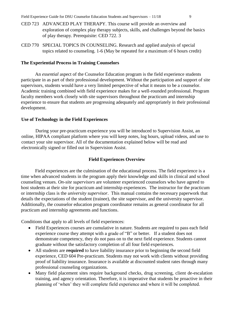- CED 723 ADVANCED PLAY THERAPY. This course will provide an overview and exploration of complex play therapy subjects, skills, and challenges beyond the basics of play therapy. Prerequisite: CED 722. 3
- CED 770 SPECIAL TOPICS IN COUNSELING. Research and applied analysis of special topics related to counseling. 1-6 (May be repeated for a maximum of 6 hours credit)

#### **The Experiential Process in Training Counselors**

An *essential* aspect of the Counselor Education program is the field experience students participate in as part of their professional development. Without the participation and support of site supervisors, students would have a very limited perspective of what it means to be a counselor. Academic training combined with field experience makes for a well-rounded professional. Program faculty members work closely with site supervisors throughout the practicum and internship experience to ensure that students are progressing adequately and appropriately in their professional development.

#### **Use of Technology in the Field Experiences**

During your pre-practicum experience you will be introduced to Supervision Assist, an online, HIPAA compliant platform where you will keep notes, log hours, upload videos, and use to contact your site supervisor. All of the documentation explained below will be read and electronically signed or filled out in Supervision Assist.

## **Field Experiences Overview**

Field experiences are the culmination of the educational process. The field experience is a time when advanced students in the program apply their knowledge and skills in clinical and school counseling venues. *On-site supervisors* are volunteer experienced counselors who have agreed to host students at their site for practicum and internship experiences. The instructor for the practicum or internship class is the *university supervisor*. This manual contains the necessary paperwork that details the expectations of the student (trainee), the site supervisor, and the university supervisor. Additionally, the counselor education program coordinator remains as general coordinator for all practicum and internship agreements and functions.

Conditions that apply to all levels of field experiences:

- Field Experiences courses are cumulative in nature. Students are required to pass each field experience course they attempt with a grade of "B" or better. If a student does not demonstrate competency, they do not pass on to the next field experience. Students cannot graduate without the satisfactory completion of all four field experiences.
- All students are **required** to have liability insurance prior to beginning the second field experience, CED 604 Pre-practicum. Students may not work with clients without providing proof of liability insurance. Insurance is available at discounted student rates through many professional counseling organizations.
- Many field placement sites require background checks, drug screening, client de-escalation training, and agency orientation. Therefore, it is imperative that students be proactive in their planning of 'when' they will complete field experience and where it will be completed.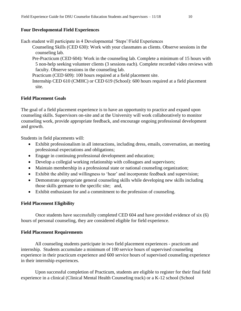## **Four Developmental Field Experiences**

Each student will participate in 4 Developmental 'Steps'/Field Experiences

- Counseling Skills (CED 630): Work with your classmates as clients. Observe sessions in the counseling lab.
- Pre-Practicum (CED 604): Work in the counseling lab. Complete a minimum of 15 hours with 5 non-help seeking volunteer clients (3 sessions each). Complete recorded video reviews with faculty. Observe sessions in the counseling lab.

Practicum (CED 609): 100 hours required at a field placement site.

Internship CED 610 (CMHC) or CED 619 (School): 600 hours required at a field placement site.

## **Field Placement Goals**

The goal of a field placement experience is to have an opportunity to practice and expand upon counseling skills. Supervisors on-site and at the University will work collaboratively to monitor counseling work, provide appropriate feedback, and encourage ongoing professional development and growth.

Students in field placements will:

- Exhibit professionalism in all interactions, including dress, emails, conversation, an meeting professional expectations and obligations;
- Engage in continuing professional development and education;
- Develop a collegial working relationship with colleagues and supervisors;
- Maintain membership in a professional state or national counseling organization;
- Exhibit the ability and willingness to 'hear' and incorporate feedback and supervision;
- Demonstrate appropriate general counseling skills while developing new skills including those skills germane to the specific site; and,
- Exhibit enthusiasm for and a commitment to the profession of counseling.

## **Field Placement Eligibility**

Once students have successfully completed CED 604 and have provided evidence of six (6) hours of personal counseling, they are considered eligible for field experience.

## **Field Placement Requirements**

All counseling students participate in two field placement experiences - practicum and internship. Students accumulate a minimum of 100 service hours of supervised counseling experience in their practicum experience and 600 service hours of supervised counseling experience in their internship experiences.

Upon successful completion of Practicum, students are eligible to register for their final field experience in a clinical (Clinical Mental Health Counseling track) or a K-12 school (School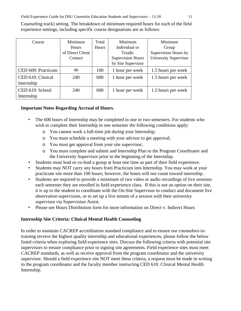Counseling track) setting. The breakdown of minimum required hours for each of the field experience settings, including specific course designations are as follows:

| Course                          | Minimum<br><b>Hours</b><br>of Direct Client<br>Contact | Total<br><b>Hours</b> | Minimum<br>Individual or<br>Triadic<br><b>Supervision Hours</b><br>by Site Supervisor | Minimum<br>Group<br>Supervision Hours by<br>University Supervisor |
|---------------------------------|--------------------------------------------------------|-----------------------|---------------------------------------------------------------------------------------|-------------------------------------------------------------------|
| CED 609: Practicum              | 40                                                     | 100                   | 1 hour per week                                                                       | 1.5 hours per week                                                |
| CED 610: Clinical<br>Internship | 240                                                    | 600                   | 1 hour per week                                                                       | 1.5 hours per week                                                |
| CED 619: School<br>Internship   | 240                                                    | 600                   | 1 hour per week                                                                       | 1.5 hours per week                                                |

# **Important Notes Regarding Accrual of Hours.**

- The 600 hours of Internship may be completed in one or two semesters. For students who wish to complete their Internship in one semester the following conditions apply:
	- o You cannot work a full-time job during your Internship;
	- o You must schedule a meeting with your advisor to get approval;
	- o You must get approval from your site supervisor;
	- o You must complete and submit and Internship Plan to the Program Coordinator and the University Supervisor prior to the beginning of the Internship.
- Students must lead or co-lead a group at least one time as part of their field experience.
- Students may NOT carry any hours from Practicum into Internship. You may work at your practicum site more than 100 hours; however, the hours will not count toward internship.
- Students are required to provide a minimum of two video or audio recordings of live sessions each semester they are enrolled in field experience class. If this is not an option on their site, it is up to the student to coordinate with the On-Site Supervisor to conduct and document live observation supervision, or to set up a live stream of a session with their university supervisor via Supervision Assist.
- Please see Hours Distribution form for more information on Direct v. Indirect Hours

# **Internship Site Criteria: Clinical Mental Health Counseling**

In order to maintain CACREP accreditation standard compliance and to ensure our counselors-intraining receive the highest quality internship and educational experiences, please follow the below listed criteria when exploring field experience sites. Discuss the following criteria with potential site supervisors to ensure compliance prior to signing site agreements. Field experience sites must meet CACREP standards, as well as receive approval from the program coordinator and the university supervisor. Should a field experience site NOT meet these criteria, a request must be made in writing to the program coordinator and the faculty member instructing CED 610: Clinical Mental Health Internship.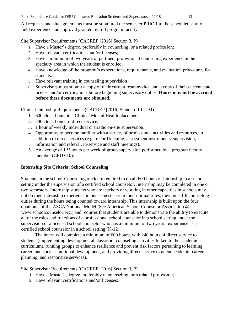All requests and site agreements must be submitted the semester PRIOR to the scheduled start of field experience and approval granted by full program faculty.

Site Supervisor Requirements (CACREP [2016] Section 3, P)

- 1. Have a Master's degree, preferably in counseling, or a related profession;
- 2. Have relevant certifications and/or licenses;
- 3. Have a minimum of two years of pertinent professional counseling experience in the specialty area in which the student is enrolled;
- 4. Have knowledge of the program's expectations, requirements, and evaluation procedures for students.
- 5. Have relevant training in counseling supervision
- 6. Supervisors must submit a copy of their current resume/vitae and a copy of their current state license and/or certifications before beginning supervisory duties. **Hours may not be accrued before these documents are obtained.**

# Clinical Internship Requirements (CACREP [2016] Standard III, J-M)

- 1. 600 clock hours in a Clinical Mental Health placement.
- 2. 240 clock hours of direct service.
- 3. 1 hour of weekly individual or triadic on-site supervision.
- 4. Opportunity to become familiar with a variety of professional activities and resources, in addition to direct services (e.g., record keeping, assessment instruments, supervision, information and referral, in-service and staff meetings).
- 5. An average of 1 ½ hours per week of group supervision performed by a program faculty member (CED 610).

# **Internship Site Criteria: School Counseling**

Students in the school-Counseling track are required to do all 600 hours of Internship in a school setting under the supervision of a certified school counselor. Internship may be completed in one or two semesters. Internship students who are teachers or working in other capacities in schools may not do their internship experience in one semester or in their normal roles, they must fill counseling duties during the hours being counted toward internship. This internship is built upon the four quadrants of the ASCA National Model (See American School Counselor Association @ www.schoolcounselor.org.) and requires that students are able to demonstrate the ability to execute all of the roles and functions of a professional school counselor in a school setting under the supervision of a licensed school counselor who has a minimum of two years' experience as a certified school counselor in a school setting (K-12).

The intern will complete a minimum of 600 hours, with 240 hours of direct service to students (implementing developmental classroom counseling activities linked to the academic curriculum), running groups to enhance resilience and prevent risk factors pertaining to learning, career, and social-emotional development, and providing direct service (student academic-career planning, and responsive services).

# Site Supervisor Requirements (CACREP [2016] Section 3, P)

- 1. Have a Master's degree, preferably in counseling, or a related profession;
- 2. Have relevant certifications and/or licenses;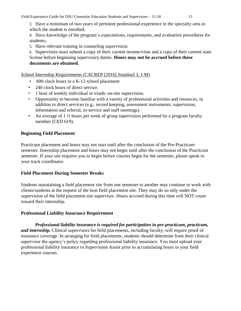Field Experience Guide for DSU Counselor Education Students and Supervisors – 11/18 13

3. Have a minimum of two years of pertinent professional experience in the specialty area in which the student is enrolled;

4. Have knowledge of the program's expectations, requirements, and evaluation procedures for students;

5. Have relevant training in counseling supervision;

6. Supervisors must submit a copy of their current resume/vitae and a copy of their current state license before beginning supervisory duties. **Hours may not be accrued before these documents are obtained.** 

School Internship Requirements (CACREP [2016] Standard 3, J-M)

- 600 clock hours in a K-12 school placement
- 240 clock hours of direct service.
- 1 hour of weekly individual or triadic on-site supervision.
- Opportunity to become familiar with a variety of professional activities and resources, in addition to direct services (e.g., record keeping, assessment instruments, supervision, information and referral, in-service and staff meetings).
- An average of 1 ½ hours per week of group supervision performed by a program faculty member (CED 619).

# **Beginning Field Placement**

Practicum placement and hours may not start until after the conclusion of the Pre-Practicum semester. Internship placement and hours may not begin until after the conclusion of the Practicum semester. If your site requires you to begin before courses begin for the semester, please speak to your track coordinator.

# **Field Placement During Semester Breaks**

Students maintaining a field placement site from one semester to another may continue to work with clients/students at the request of the host field placement site. They may do so only under the supervision of the field placement site supervisor. Hours accrued during this time will NOT count toward their internship.

# **Professional Liability Insurance Requirement**

*Professional liability insurance is required for participation in pre-practicum, practicum, and internship.* Clinical supervisors for field placements, including faculty, will require proof of insurance coverage. In arranging for field placements, students should determine from their clinical supervisor the agency's policy regarding professional liability insurance. You must upload your professional liability insurance to Supervision Assist prior to accumulating hours in your field experience courses.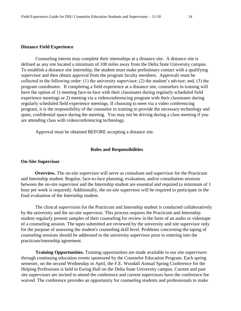#### **Distance Field Experience**

Counseling interns may complete their internships at a distance site. A distance site is defined as any site located a minimum of 100 miles away from the Delta State University campus. To establish a distance site internship, the student must make preliminary contact with a qualifying supervisor and then obtain approval from the program faculty members. Approvals must be collected in the following order: (1) the university supervisor; (2) the student's advisor; and, (3) the program coordinator. If completing a field experience at a distance site, counselors in training will have the option of 1) meeting face-to-face with their classmates during regularly scheduled field experience meetings or 2) meeting via a videoconferencing program with their classmates during regularly scheduled field experience meetings. If choosing to meet via a video conferencing program, it is the responsibility of the counselor in training to provide the necessary technology and quiet, confidential space during the meeting. You may not be driving during a class meeting if you are attending class with videoconferencing technology.

Approval must be obtained BEFORE accepting a distance site.

#### **Roles and Responsibilities**

#### **On-Site Supervisor**

**Overview.** The on-site supervisor will serve as consultant and supervisor for the Practicum and Internship student. Regular, face-to-face planning, evaluation, and/or consultation sessions between the on-site supervisor and the Internship student are essential and required (a minimum of 1 hour per week is required). Additionally, the on-site supervisor will be required to participate in the final evaluation of the Internship student.

The clinical supervision for the Practicum and Internship student is conducted collaboratively by the university and the on-site supervisor. This process requires the Practicum and Internship student regularly present samples of their counseling for review in the form of an audio or videotape of a counseling session. The tapes submitted are reviewed by the university and site supervisor only for the purpose of assessing the student's counseling skill level. Problems concerning the taping of counseling sessions should be addressed to the university supervisor prior to entering into the practicum/internship agreement.

**Training Opportunities.** Training opportunities are made available to our site supervisors through continuing education events sponsored by the Counselor Education Program. Each spring semester, on the second Wednesday in April, the F.E. Woodall Annual Spring Conference for the Helping Professions is held in Ewing Hall on the Delta State University campus. Current and past site supervisors are invited to attend the conference and current supervisors have the conference fee waived. The conference provides an opportunity for counseling students and professionals to make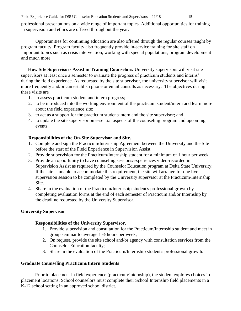Field Experience Guide for DSU Counselor Education Students and Supervisors – 11/18 15

professional presentations on a wide range of important topics. Additional opportunities for training in supervision and ethics are offered throughout the year.

Opportunities for continuing education are also offered through the regular courses taught by program faculty. Program faculty also frequently provide in-service training for site staff on important topics such as crisis intervention, working with special populations, program development and much more.

**How Site Supervisors Assist in Training Counselors.** University supervisors will visit site supervisors at least once a semester to evaluate the progress of practicum students and interns' during the field experience. As requested by the site supervisor, the university supervisor will visit more frequently and/or can establish phone or email consults as necessary. The objectives during these visits are

- 1. to assess practicum student and intern progress;
- 2. to be introduced into the working environment of the practicum student/intern and learn more about the field experience site;
- 3. to act as a support for the practicum student/intern and the site supervisor; and
- 4. to update the site supervisor on essential aspects of the counseling program and upcoming events.

# **Responsibilities of the On-Site Supervisor and Site.**

- 1. Complete and sign the Practicum/Internship Agreement between the University and the Site before the start of the Field Experience in Supervision Assist.
- 2. Provide supervision for the Practicum/Internship student for a minimum of 1 hour per week.
- 3. Provide an opportunity to have counseling sessions/experiences video-recorded in Supervision Assist as required by the Counselor Education program at Delta State University. If the site is unable to accommodate this requirement, the site will arrange for one live supervision session to be completed by the University supervisor at the Practicum/Internship Site.
- 4. Share in the evaluation of the Practicum/Internship student's professional growth by completing evaluation forms at the end of each semester of Practicum and/or Internship by the deadline requested by the University Supervisor.

# **University Supervisor**

# **Responsibilities of the University Supervisor.**

- 1. Provide supervision and consultation for the Practicum/Internship student and meet in group seminar to average 1 ½ hours per week;
- 2. On request, provide the site school and/or agency with consultation services from the Counselor Education faculty;
- 3. Share in the evaluation of the Practicum/Internship student's professional growth.

# **Graduate Counseling Practicum/Intern Students**

Prior to placement in field experience (practicum/internship), the student explores choices in placement locations. School counselors must complete their School Internship field placements in a K-12 school setting in an approved school district.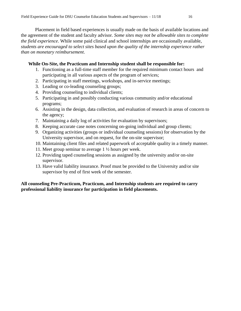Placement in field based experiences is usually made on the basis of available locations and the agreement of the student and faculty advisor. *Some sites may not be allowable sites to complete the field experience*. While some paid clinical and school internships are occasionally available, *students are encouraged to select sites based upon the quality of the internship experience rather than on monetary reimbursement*.

# **While On-Site, the Practicum and Internship student shall be responsible for:**

- 1. Functioning as a full-time staff member for the required minimum contact hours and participating in all various aspects of the program of services;
- 2. Participating in staff meetings, workshops, and in-service meetings;
- 3. Leading or co-leading counseling groups;
- 4. Providing counseling to individual clients;
- 5. Participating in and possibly conducting various community and/or educational programs;
- 6. Assisting in the design, data collection, and evaluation of research in areas of concern to the agency;
- 7. Maintaining a daily log of activities for evaluation by supervisors;
- 8. Keeping accurate case notes concerning on-going individual and group clients;
- 9. Organizing activities (groups or individual counseling sessions) for observation by the University supervisor, and on request, for the on-site supervisor;
- 10. Maintaining client files and related paperwork of acceptable quality in a timely manner.
- 11. Meet group seminar to average 1 ½ hours per week.
- 12. Providing taped counseling sessions as assigned by the university and/or on-site supervisor.
- 13. Have valid liability insurance. Proof must be provided to the University and/or site supervisor by end of first week of the semester.

# **All counseling Pre-Practicum, Practicum, and Internship students are required to carry professional liability insurance for participation in field placements.**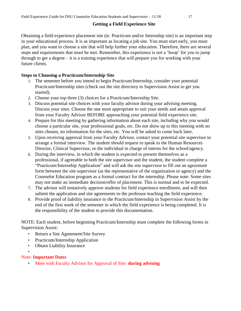# **Getting a Field Experience Site**

Obtaining a field experience placement site (ie. Practicum and/or Internship site) is an important step in your educational process. It is as important as locating a job site. You must start early, you must plan, and you want to choose a site that will help further your education. Therefore, there are several steps and requirements that must be met. Remember, this experience is not a 'hoop' for you to jump through to get a degree – it is a training experience that will prepare you for working with your future clients.

# **Steps to Choosing a Practicum/Internship Site**

- 1. The semester before you intend to begin Practicum/Internship, consider your potential Practicum/Internship sites (check out the site directory in Supervision Assist to get you started).
- 2. Choose your top three (3) choices for a Practicum/Internship Site.
- 3. Discuss potential site choices with your faculty advisor during your advising meeting. Discuss your sites. Choose the one most appropriate to suit your needs and attain approval from your Faculty Advisor BEFORE approaching your potential field experience site.
- 4. Prepare for this meeting by gathering information about each site, including why you would choose a particular site, your professional goals, etc. Do not show up to this meeting with no sites chosen, no information for the sites, etc. You will be asked to come back later.
- 5. Upon receiving approval from your Faculty Advisor, contact your potential site supervisor to arrange a formal interview. The student should request to speak to the Human Resources Director, Clinical Supervisor, or the individual in charge of interns for the school/agency.
- 6. During the interview, in which the student is expected to present themselves as a professional, if agreeable to both the site supervisor and the student, the student complete a "Practicum/Internship Application" and will ask the site supervisor to fill out an agreement form between the site supervisor (as the representative of the organization or agency) and the Counselor Education program as a formal contract for the internship. Please note: Some sites may not make an immediate decision/offer of placement. This is normal and to be expected.
- 7. The advisor will tentatively approve students for field experience enrollment, and will then submit the application and site agreements to the professor teaching the field experience.
- 8. Provide proof of liability insurance to the Practicum/Internship in Supervision Assist by the end of the first week of the semester in which the field experience is being completed. It is the responsibility of the student to provide this documentation.

NOTE: Each student, before beginning Practicum/Internship must complete the following forms in Supervision Assist:

- Return a Site Agreement/Site Survey
- Practicum/Internship Application
- Obtain Liability Insurance
- •

# Note: **Important Dates**

• Meet with Faculty Advisor for Approval of Site: **during advising**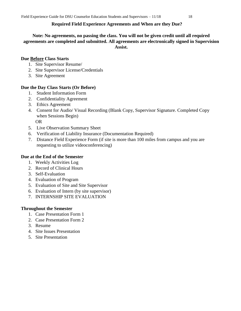# **Required Field Experience Agreements and When are they Due?**

# **Note: No agreements, no passing the class. You will not be given credit until all required agreements are completed and submitted. All agreements are electronically signed in Supervision Assist.**

## **Due Before Class Starts**

- 1. Site Supervisor Resume/
- 2. Site Supervisor License/Credentials
- 3. Site Agreement

# **Due the Day Class Starts (Or Before)**

- 1. Student Information Form
- 2. Confidentiality Agreement
- 3. Ethics Agreement
- 4. Consent for Audio/ Visual Recording (Blank Copy, Supervisor Signature. Completed Copy when Sessions Begin)

OR

- 5. Live Observation Summary Sheet
- 6. Verification of Liability Insurance (Documentation Required)
- 7. Distance Field Experience Form (if site is more than 100 miles from campus and you are requesting to utilize videoconferencing)

## **Due at the End of the Semester**

- 1. Weekly Activities Log
- 2. Record of Clinical Hours
- 3. Self-Evaluation
- 4. Evaluation of Program
- 5. Evaluation of Site and Site Supervisor
- 6. Evaluation of Intern (by site supervisor)
- 7. INTERNSHIP SITE EVALUATION

## **Throughout the Semester**

- 1. Case Presentation Form 1
- 2. Case Presentation Form 2
- 3. Resume
- 4. Site Issues Presentation
- 5. Site Presentation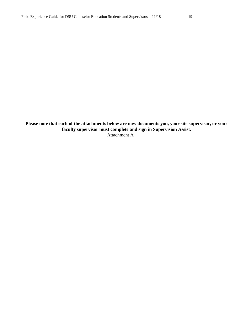**Please note that each of the attachments below are now documents you, your site supervisor, or your faculty supervisor must complete and sign in Supervision Assist.**  Attachment A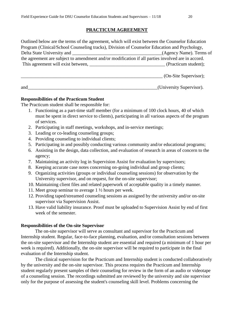## **PRACTICUM AGREEMENT**

| Outlined below are the terms of the agreement, which will exist between the Counselor Education   |                       |
|---------------------------------------------------------------------------------------------------|-----------------------|
| Program (Clinical/School Counseling tracks), Division of Counselor Education and Psychology,      |                       |
|                                                                                                   |                       |
| the agreement are subject to amendment and/or modification if all parties involved are in accord. |                       |
| This agreement will exist between, (Practicum student);                                           |                       |
|                                                                                                   |                       |
|                                                                                                   | (On-Site Supervisor); |

and\_\_\_\_\_\_\_\_\_\_\_\_\_\_\_\_\_\_\_\_\_\_\_\_\_\_\_\_\_\_\_\_\_\_\_\_\_\_\_\_\_\_\_\_\_\_\_\_\_\_\_\_\_\_\_(University Supervisor).

# **Responsibilities of the Practicum Student**

The Practicum student shall be responsible for:

- 1. Functioning as a part-time staff member (for a minimum of 100 clock hours, 40 of which must be spent in direct service to clients), participating in all various aspects of the program of services.
- 2. Participating in staff meetings, workshops, and in-service meetings;
- 3. Leading or co-leading counseling groups;
- 4. Providing counseling to individual clients;
- 5. Participating in and possibly conducting various community and/or educational programs;
- 6. Assisting in the design, data collection, and evaluation of research in areas of concern to the agency;
- 7. Maintaining an activity log in Supervision Assist for evaluation by supervisors;
- 8. Keeping accurate case notes concerning on-going individual and group clients;
- 9. Organizing activities (groups or individual counseling sessions) for observation by the University supervisor, and on request, for the on-site supervisor;
- 10. Maintaining client files and related paperwork of acceptable quality in a timely manner.
- 11. Meet group seminar to average 1 ½ hours per week.
- 12. Providing taped/streamed counseling sessions as assigned by the university and/or on-site supervisor via Supervision Assist.
- 13. Have valid liability insurance. Proof must be uploaded to Supervision Assist by end of first week of the semester.

## **Responsibilities of the On-site Supervisor**

The on-site supervisor will serve as consultant and supervisor for the Practicum and Internship student. Regular, face-to-face planning, evaluation, and/or consultation sessions between the on-site supervisor and the Internship student are essential and required (a minimum of 1 hour per week is required). Additionally, the on-site supervisor will be required to participate in the final evaluation of the Internship student.

The clinical supervision for the Practicum and Internship student is conducted collaboratively by the university and the on-site supervisor. This process requires the Practicum and Internship student regularly present samples of their counseling for review in the form of an audio or videotape of a counseling session. The recordings submitted are reviewed by the university and site supervisor only for the purpose of assessing the student's counseling skill level. Problems concerning the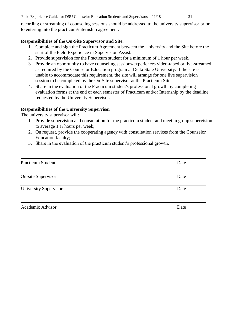Field Experience Guide for DSU Counselor Education Students and Supervisors – 11/18 21

recording or streaming of counseling sessions should be addressed to the university supervisor prior to entering into the practicum/internship agreement.

# **Responsibilities of the On-Site Supervisor and Site.**

- 1. Complete and sign the Practicum Agreement between the University and the Site before the start of the Field Experience in Supervision Assist.
- 2. Provide supervision for the Practicum student for a minimum of 1 hour per week.
- 3. Provide an opportunity to have counseling sessions/experiences video-taped or live-streamed as required by the Counselor Education program at Delta State University. If the site is unable to accommodate this requirement, the site will arrange for one live supervision session to be completed by the On-Site supervisor at the Practicum Site.
- 4. Share in the evaluation of the Practicum student's professional growth by completing evaluation forms at the end of each semester of Practicum and/or Internship by the deadline requested by the University Supervisor.

# **Responsibilities of the University Supervisor**

The university supervisor will:

- 1. Provide supervision and consultation for the practicum student and meet in group supervision to average 1 ½ hours per week;
- 2. On request, provide the cooperating agency with consultation services from the Counselor Education faculty;
- 3. Share in the evaluation of the practicum student's professional growth.

| <b>Practicum Student</b>     | Date |
|------------------------------|------|
| <b>On-site Supervisor</b>    | Date |
| <b>University Supervisor</b> | Date |
| Academic Advisor             | Date |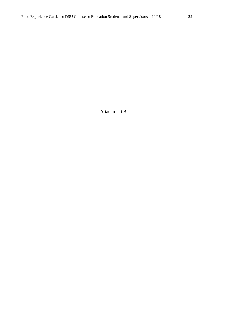Attachment B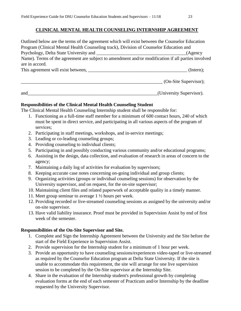## **CLINICAL MENTAL HEALTH COUNSELING INTERNSHIP AGREEMENT**

Outlined below are the terms of the agreement which will exist between the Counselor Education Program (Clinical Mental Health Counseling track), Division of Counselor Education and Psychology, Delta State University and \_\_\_\_\_\_\_\_\_\_\_\_\_\_\_\_\_\_\_\_\_\_\_\_\_\_\_\_\_\_\_\_\_\_\_\_\_\_(Agency Name). Terms of the agreement are subject to amendment and/or modification if all parties involved are in accord. This agreement will exist between, \_\_\_\_\_\_\_\_\_\_\_\_\_\_\_\_\_\_\_\_\_\_\_\_\_\_\_\_\_\_\_\_\_\_\_\_\_\_\_\_\_\_ (Intern); \_\_\_\_\_\_\_\_\_\_\_\_\_\_\_\_\_\_\_\_\_\_\_\_\_\_\_\_\_\_\_\_\_\_\_\_\_\_\_\_\_\_\_\_\_\_\_\_\_\_\_\_\_\_\_\_\_\_\_\_ (On-Site Supervisor);

and\_\_\_\_\_\_\_\_\_\_\_\_\_\_\_\_\_\_\_\_\_\_\_\_\_\_\_\_\_\_\_\_\_\_\_\_\_\_\_\_\_\_\_\_\_\_\_\_\_\_\_\_\_\_\_(University Supervisor).

# **Responsibilities of the Clinical Mental Health Counseling Student**

The Clinical Mental Health Counseling Internship student shall be responsible for:

- 1. Functioning as a full-time staff member for a minimum of 600 contact hours, 240 of which must be spent in direct service, and participating in all various aspects of the program of services;
- 2. Participating in staff meetings, workshops, and in-service meetings;
- 3. Leading or co-leading counseling groups;
- 4. Providing counseling to individual clients;
- 5. Participating in and possibly conducting various community and/or educational programs;
- 6. Assisting in the design, data collection, and evaluation of research in areas of concern to the agency;
- 7. Maintaining a daily log of activities for evaluation by supervisors;
- 8. Keeping accurate case notes concerning on-going individual and group clients;
- 9. Organizing activities (groups or individual counseling sessions) for observation by the University supervisor, and on request, for the on-site supervisor;
- 10. Maintaining client files and related paperwork of acceptable quality in a timely manner.
- 11. Meet group seminar to average 1 ½ hours per week.
- 12. Providing recorded or live-streamed counseling sessions as assigned by the university and/or on-site supervisor.
- 13. Have valid liability insurance. Proof must be provided in Supervision Assist by end of first week of the semester.

# **Responsibilities of the On-Site Supervisor and Site.**

- 1. Complete and Sign the Internship Agreement between the University and the Site before the start of the Field Experience in Supervision Assist.
- 2. Provide supervision for the Internship student for a minimum of 1 hour per week.
- 3. Provide an opportunity to have counseling sessions/experiences video-taped or live-streamed as required by the Counselor Education program at Delta State University. If the site is unable to accommodate this requirement, the site will arrange for one live supervision session to be completed by the On-Site supervisor at the Internship Site.
- 4. Share in the evaluation of the Internship student's professional growth by completing evaluation forms at the end of each semester of Practicum and/or Internship by the deadline requested by the University Supervisor.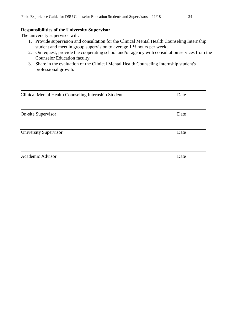#### **Responsibilities of the University Supervisor**

The university supervisor will:

- 1. Provide supervision and consultation for the Clinical Mental Health Counseling Internship student and meet in group supervision to average 1 ½ hours per week;
- 2. On request, provide the cooperating school and/or agency with consultation services from the Counselor Education faculty;
- 3. Share in the evaluation of the Clinical Mental Health Counseling Internship student's professional growth.

| Clinical Mental Health Counseling Internship Student<br>Date |      |  |  |  |
|--------------------------------------------------------------|------|--|--|--|
|                                                              |      |  |  |  |
|                                                              |      |  |  |  |
| <b>On-site Supervisor</b>                                    | Date |  |  |  |
|                                                              |      |  |  |  |
| University Supervisor                                        | Date |  |  |  |
|                                                              |      |  |  |  |
|                                                              |      |  |  |  |
| Academic Advisor                                             | Date |  |  |  |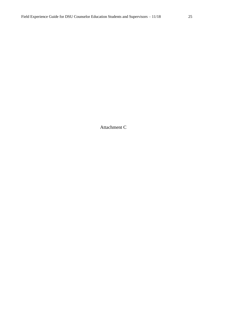Attachment C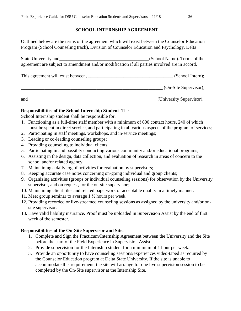## **SCHOOL INTERNSHIP AGREEMENT**

Outlined below are the terms of the agreement which will exist between the Counselor Education Program (School Counseling track), Division of Counselor Education and Psychology, Delta

| State University and                                                                          | (School Name). Terms of the |
|-----------------------------------------------------------------------------------------------|-----------------------------|
| agreement are subject to amendment and/or modification if all parties involved are in accord. |                             |

| This agreement will exist between, |  | (School Intern); |
|------------------------------------|--|------------------|
|------------------------------------|--|------------------|

\_\_\_\_\_\_\_\_\_\_\_\_\_\_\_\_\_\_\_\_\_\_\_\_\_\_\_\_\_\_\_\_\_\_\_\_\_\_\_\_\_\_\_\_\_\_\_\_\_\_\_\_\_\_\_\_\_\_\_\_ (On-Site Supervisor);

and\_\_\_\_\_\_\_\_\_\_\_\_\_\_\_\_\_\_\_\_\_\_\_\_\_\_\_\_\_\_\_\_\_\_\_\_\_\_\_\_\_\_\_\_\_\_\_\_\_\_\_\_\_\_\_(University Supervisor).

# **Responsibilities of the School Internship Student** The

School Internship student shall be responsible for:

- 1. Functioning as a full-time staff member with a minimum of 600 contact hours, 240 of which must be spent in direct service, and participating in all various aspects of the program of services;
- 2. Participating in staff meetings, workshops, and in-service meetings;
- 3. Leading or co-leading counseling groups;
- 4. Providing counseling to individual clients;
- 5. Participating in and possibly conducting various community and/or educational programs;
- 6. Assisting in the design, data collection, and evaluation of research in areas of concern to the school and/or related agency;
- 7. Maintaining a daily log of activities for evaluation by supervisors;
- 8. Keeping accurate case notes concerning on-going individual and group clients;
- 9. Organizing activities (groups or individual counseling sessions) for observation by the University supervisor, and on request, for the on-site supervisor;
- 10. Maintaining client files and related paperwork of acceptable quality in a timely manner.
- 11. Meet group seminar to average 1 ½ hours per week.
- 12. Providing recorded or live-streamed counseling sessions as assigned by the university and/or onsite supervisor.
- 13. Have valid liability insurance. Proof must be uploaded in Supervision Assist by the end of first week of the semester.

## **Responsibilities of the On-Site Supervisor and Site.**

- 1. Complete and Sign the Practicum/Internship Agreement between the University and the Site before the start of the Field Experience in Supervision Assist.
- 2. Provide supervision for the Internship student for a minimum of 1 hour per week.
- 3. Provide an opportunity to have counseling sessions/experiences video-taped as required by the Counselor Education program at Delta State University. If the site is unable to accommodate this requirement, the site will arrange for one live supervision session to be completed by the On-Site supervisor at the Internship Site.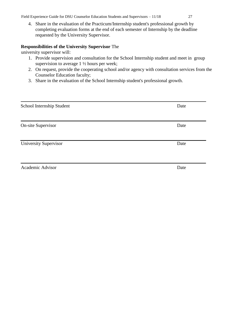Field Experience Guide for DSU Counselor Education Students and Supervisors – 11/18 27

4. Share in the evaluation of the Practicum/Internship student's professional growth by completing evaluation forms at the end of each semester of Internship by the deadline requested by the University Supervisor.

# **Responsibilities of the University Supervisor** The

university supervisor will:

- 1. Provide supervision and consultation for the School Internship student and meet in group supervision to average  $1\frac{1}{2}$  hours per week;
- 2. On request, provide the cooperating school and/or agency with consultation services from the Counselor Education faculty;
- 3. Share in the evaluation of the School Internship student's professional growth.

| School Internship Student    | Date |
|------------------------------|------|
|                              |      |
| <b>On-site Supervisor</b>    | Date |
|                              |      |
| <b>University Supervisor</b> | Date |
|                              |      |
| Academic Advisor             | Date |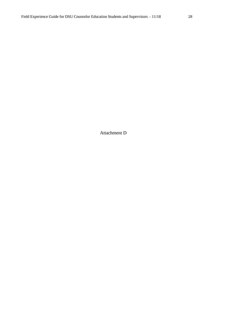Attachment D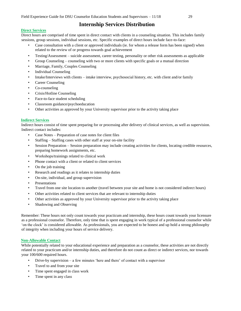# **Internship Services Distribution**

#### **Direct Services**

Direct hours are comprised of time spent in direct contact with clients in a counseling situation. This includes family sessions, group sessions, individual sessions, etc. Specific examples of direct hours include face-to-face:

- Case consultation with a client or approved individuals (ie. for whom a release form has been signed) when related to the review of or progress towards goal achievement
- Testing/Assessment suicide assessment, career testing, personality or other risk assessments as applicable
- Group Counseling counseling with two or more clients with specific goals or a mutual direction
- Marriage, Family, Couples Counseling
- Individual Counseling
- Intake/Interviews with clients intake interview, psychosocial history, etc. with client and/or family
- Career Counseling
- Co-counseling
- Crisis/Hotline Counseling
- Face-to-face student scheduling
- Classroom guidance/psychoeducation
- Other activities as approved by your University supervisor prior to the activity taking place

#### **Indirect Services**

Indirect hours consist of time spent preparing for or processing after delivery of clinical services, as well as supervision. Indirect contact includes:

- Case Notes Preparation of case notes for client files
- Staffing Staffing cases with other staff at your on-site facility
- Session Preparation Session preparation may include creating activities for clients, locating credible resources, preparing homework assignments, etc.
- Workshops/trainings related to clinical work
- Phone contact with a client or related to client services
- On the job training
- Research and readings as it relates to internship duties
- On-site, individual, and group supervision
- **Presentations**
- Travel from one site location to another (travel between your site and home is not considered indirect hours)
- Other activities related to client services that are relevant to internship duties
- Other activities as approved by your University supervisor prior to the activity taking place
- Shadowing and Observing

Remember: These hours not only count towards your practicum and internship, these hours count towards your licensure as a professional counselor. Therefore, only time that is spent engaging in work typical of a professional counselor while 'on the clock' is considered allowable. As professionals, you are expected to be honest and up hold a strong philosophy of integrity when including your hours of service delivery.

#### **Non-Allowable Contact**

While potentially related to your educational experience and preparation as a counselor, these activities are not directly related to your practicum and/or internship duties, and therefore do not count as direct or indirect services, nor towards your 100/600 required hours.

- Drive-by supervision a few minutes 'here and there' of contact with a supervisor
- Travel to and from your site
- Time spent engaged in class work
- Time spent in any class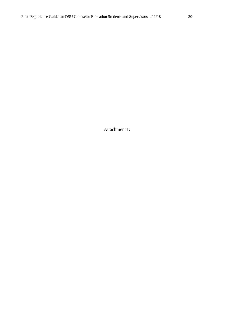Attachment E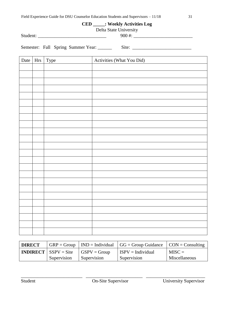# **CED \_\_\_\_\_: Weekly Activities Log**

Delta State University<br>
900#:

Student: \_\_\_\_\_\_\_\_\_\_\_\_\_\_\_\_\_\_\_\_\_\_\_\_\_\_\_\_\_ 900 #: \_\_\_\_\_\_\_\_\_\_\_\_\_\_\_\_\_\_\_\_\_\_\_\_\_

Semester: Fall Spring Summer Year: \_\_\_\_\_\_\_ Site: \_\_\_\_\_\_\_\_\_\_\_\_\_\_\_\_\_\_\_\_\_\_\_\_\_\_\_\_\_\_\_

| Date | Hrs Type | Activities (What You Did) |
|------|----------|---------------------------|
|      |          |                           |
|      |          |                           |
|      |          |                           |
|      |          |                           |
|      |          |                           |
|      |          |                           |
|      |          |                           |
|      |          |                           |
|      |          |                           |
|      |          |                           |
|      |          |                           |
|      |          |                           |
|      |          |                           |
|      |          |                           |
|      |          |                           |
|      |          |                           |
|      |          |                           |
|      |          |                           |
|      |          |                           |
|      |          |                           |
|      |          |                           |
|      |          |                           |
|      |          |                           |
|      |          |                           |

| <b>DIRECT</b> |                                     |                      | $GRP = Group   IND = Individual   GG = Group Guidance   CON = Consulting$ |               |
|---------------|-------------------------------------|----------------------|---------------------------------------------------------------------------|---------------|
|               | <b>INDIRECT</b> $\vert$ SSPV = Site | $\big $ GSPV = Group | $I$ ISPV = Individual                                                     | $MISC =$      |
|               | Supervision                         | Supervision          | Supervision                                                               | Miscellaneous |

\_\_\_\_\_\_\_\_\_\_\_\_\_\_\_\_\_\_\_\_\_\_\_\_\_\_ \_\_\_\_\_\_\_\_\_\_\_\_\_\_\_\_\_\_\_\_\_\_\_\_ \_\_\_\_\_\_\_\_\_\_\_\_\_\_\_\_\_\_\_\_\_\_\_\_\_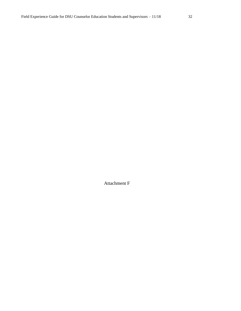Attachment F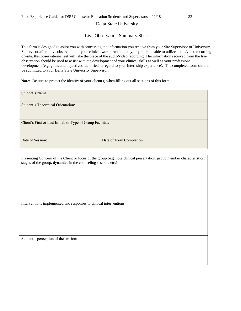#### Delta State University

#### Live Observation Summary Sheet

This form is designed to assist you with processing the information you receive from your Site Supervisor or University Supervisor after a live observation of your clinical work. Additionally, if you are unable to utilize audio/video recording on-site, this observation/sheet will take the place of the audio/video recording. The information received from the live observation should be used to assist with the development of your clinical skills as well as your professional development (e.g. goals and objectives identified in regard to your Internship experience). The completed form should be submitted to your Delta State University Supervisor.

Note: Be sure to protect the identity of your client(s) when filling out all sections of this form.

Student's Name:

Student's Theoretical Orientation:

Client's First or Last Initial, or Type of Group Facilitated:

Date of Session: Date of Form Completion:

Presenting Concern of the Client or focus of the group (e.g. note clinical presentation, group member characteristics, stages of the group, dynamics in the counseling session, etc.)

Interventions implemented and responses to clinical interventions:

Student's perception of the session: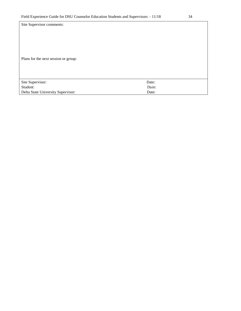| Site Supervisor comments:            |       |
|--------------------------------------|-------|
| Plans for the next session or group: |       |
|                                      |       |
| Site Supervisor:                     | Date: |
| Student:                             | Date: |
| Delta State University Supervisor:   | Date: |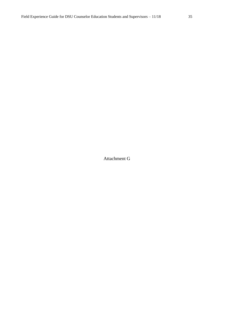Attachment G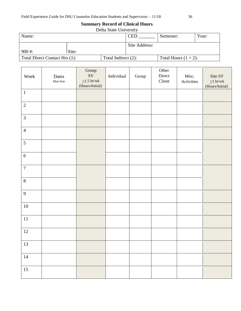# **Summary Record of Clinical Hours**

| Delta State University        |       |                        |               |                         |       |  |
|-------------------------------|-------|------------------------|---------------|-------------------------|-------|--|
| Name:                         |       |                        | <b>CED</b>    | Semester:               | Year: |  |
|                               |       |                        |               |                         |       |  |
|                               |       |                        | Site Address: |                         |       |  |
| $900$ #:                      | Site: |                        |               |                         |       |  |
| Total Direct Contact Hrs (1): |       | Total Indirect $(2)$ : |               | Total Hours $(1 + 2)$ : |       |  |

| Week             | Dates     | $\operatorname{Group}$<br>SV         | Individual | Group | Other<br>Direct | Misc.      | Site SV                            |
|------------------|-----------|--------------------------------------|------------|-------|-----------------|------------|------------------------------------|
|                  | $Mon-Sun$ | ${\geq}1.5$ hr/wk<br>(Hours/Initial) |            |       | Client          | Activities | ${\geq}1$ hr/wk<br>(Hours/Initial) |
| $\,1\,$          |           |                                      |            |       |                 |            |                                    |
| $\sqrt{2}$       |           |                                      |            |       |                 |            |                                    |
| 3                |           |                                      |            |       |                 |            |                                    |
| $\overline{4}$   |           |                                      |            |       |                 |            |                                    |
| 5                |           |                                      |            |       |                 |            |                                    |
| $\sqrt{6}$       |           |                                      |            |       |                 |            |                                    |
| $\boldsymbol{7}$ |           |                                      |            |       |                 |            |                                    |
| $8\,$            |           |                                      |            |       |                 |            |                                    |
| $\mathbf{9}$     |           |                                      |            |       |                 |            |                                    |
| $10\,$           |           |                                      |            |       |                 |            |                                    |
| $11\,$           |           |                                      |            |       |                 |            |                                    |
| $12\,$           |           |                                      |            |       |                 |            |                                    |
| $\overline{13}$  |           |                                      |            |       |                 |            |                                    |
|                  |           |                                      |            |       |                 |            |                                    |
| $14\,$           |           |                                      |            |       |                 |            |                                    |
| 15               |           |                                      |            |       |                 |            |                                    |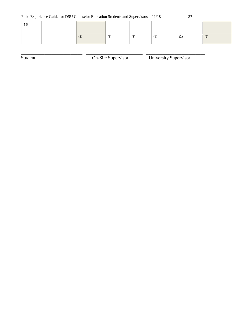| 16 |     |     |     |                       |     |
|----|-----|-----|-----|-----------------------|-----|
|    | (2) | (1) | (1) | (1)<br>$\blacksquare$ | (2) |

\_\_\_\_\_\_\_\_\_\_\_\_\_\_\_\_\_\_\_\_\_\_\_\_\_\_ \_\_\_\_\_\_\_\_\_\_\_\_\_\_\_\_\_\_\_\_\_\_\_\_ \_\_\_\_\_\_\_\_\_\_\_\_\_\_\_\_\_\_\_\_\_\_\_\_\_

Student On-Site Supervisor University Supervisor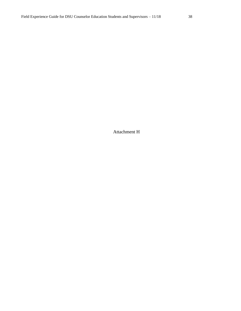Attachment H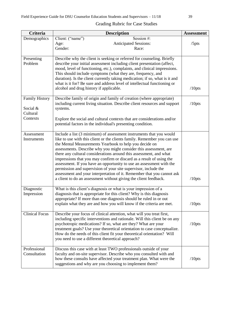| <b>Criteria</b>                               | <b>Description</b>                                                                                                                                                                                                                                                                                                                                                                                                                                                                                                                                                                                                                                                                                                    | <b>Assessment</b> |
|-----------------------------------------------|-----------------------------------------------------------------------------------------------------------------------------------------------------------------------------------------------------------------------------------------------------------------------------------------------------------------------------------------------------------------------------------------------------------------------------------------------------------------------------------------------------------------------------------------------------------------------------------------------------------------------------------------------------------------------------------------------------------------------|-------------------|
| Demographics                                  | Client: ("name")<br>Session #:<br><b>Anticipated Sessions:</b><br>Age:<br>Gender:<br>Race:                                                                                                                                                                                                                                                                                                                                                                                                                                                                                                                                                                                                                            | /5pts             |
| Presenting<br>Problem                         | Describe why the client is seeking or referred for counseling. Briefly<br>describe your initial assessment including client presentation (affect,<br>mood, level of functioning, etc.), complaints, and clinical impressions.<br>This should include symptoms (what they are, frequency, and<br>duration). Is the client currently taking medication; if so, what is it and<br>what is it for? Be sure and address level of intellectual functioning or<br>alcohol and drug history if applicable.                                                                                                                                                                                                                    | $/10$ pts         |
| <b>Family History</b><br>Social &<br>Cultural | Describe family of origin and family of creation (where appropriate)<br>including current living situation. Describe client resources and support<br>systems.                                                                                                                                                                                                                                                                                                                                                                                                                                                                                                                                                         | $/10$ pts         |
| Contexts                                      | Explore the social and cultural contexts that are considerations and/or<br>potential factors in the individual's presenting condition.                                                                                                                                                                                                                                                                                                                                                                                                                                                                                                                                                                                |                   |
| Assessment<br>Instruments                     | Include a list (3 minimum) of assessment instruments that you would<br>like to use with this client or the clients family. Remember you can use<br>the Mental Measurements Yearbook to help you decide on<br>assessments. Describe why you might consider this assessment, are<br>there any cultural considerations around this assessment, and what<br>impressions that you may confirm or discard as a result of using the<br>assessment. If you have an opportunity to use an assessment with the<br>permission and supervision of your site supervisor, include the<br>assessment and your interpretation of it. Remember that you cannot ask<br>a client to do an assessment without giving the client feedback. | $/10$ pts         |
| Diagnostic<br>Impression                      | What is this client's diagnosis or what is your impression of a<br>diagnosis that is appropriate for this client? Why is this diagnosis<br>appropriate? If more than one diagnosis should be ruled in or out<br>explain what they are and how you will know if the criteria are met.                                                                                                                                                                                                                                                                                                                                                                                                                                  | $/10$ pts         |
| <b>Clinical Focus</b>                         | Describe your focus of clinical attention, what will you treat first,<br>including specific interventions and rationale. Will this client be on any<br>psychotropic medications? If so, what are they? What are your<br>treatment goals? Use your theoretical orientation to case conceptualize.<br>How do the needs of this client fit your theoretical orientation? Will<br>you need to use a different theoretical approach?                                                                                                                                                                                                                                                                                       | $/10$ pts         |
| Professional<br>Consultation                  | Discuss this case with at least TWO professionals outside of your<br>faculty and on-site supervisor. Describe who you consulted with and<br>how these consults have affected your treatment plan. What were the<br>suggestions and why are you choosing to implement them?                                                                                                                                                                                                                                                                                                                                                                                                                                            | $/10$ pts         |

## Grading Rubric for Case Studies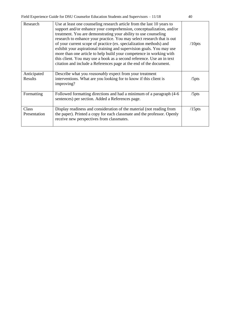| Research               | Use at least one counseling research article from the last 10 years to<br>support and/or enhance your comprehension, conceptualization, and/or<br>treatment. You are demonstrating your ability to use counseling<br>research to enhance your practice. You may select research that is out<br>of your current scope of practice (ex. specialization methods) and<br>exhibit your aspirational training and supervision goals. You may use<br>more than one article to help build your competence in working with<br>this client. You may use a book as a second reference. Use an in text<br>citation and include a References page at the end of the document. | $/10$ pts |
|------------------------|------------------------------------------------------------------------------------------------------------------------------------------------------------------------------------------------------------------------------------------------------------------------------------------------------------------------------------------------------------------------------------------------------------------------------------------------------------------------------------------------------------------------------------------------------------------------------------------------------------------------------------------------------------------|-----------|
| Anticipated<br>Results | Describe what you <i>reasonably</i> expect from your treatment<br>interventions. What are you looking for to know if this client is<br>improving?                                                                                                                                                                                                                                                                                                                                                                                                                                                                                                                | /5pts     |
| Formatting             | Followed formatting directions and had a minimum of a paragraph (4-6)<br>sentences) per section. Added a References page.                                                                                                                                                                                                                                                                                                                                                                                                                                                                                                                                        | $/5$ pts  |
| Class<br>Presentation  | Display readiness and consideration of the material (not reading from<br>the paper). Printed a copy for each classmate and the professor. Openly<br>receive new perspectives from classmates.                                                                                                                                                                                                                                                                                                                                                                                                                                                                    | $/15$ pts |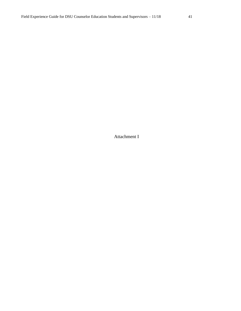Attachment I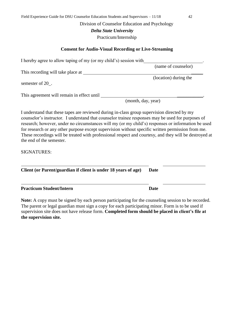#### Division of Counselor Education and Psychology

 *Delta State University*

Practicum/Internship

#### **Consent for Audio-Visual Recording or Live-Streaming**

I hereby agree to allow taping of my (or my child's) session with

This recording will take place at

semester of 20 .

This agreement will remain in effect until

(month, day, year)

I understand that these tapes are reviewed during in-class group supervision directed by my counselor's instructor. I understand that counselor trainee responses may be used for purposes of research; however, under no circumstances will my (or my child's) responses or information be used for research or any other purpose except supervision without specific written permission from me. These recordings will be treated with professional respect and courtesy, and they will be destroyed at the end of the semester.

SIGNATURES:

**Client (or Parent/guardian if client is under 18 years of age) Date** 

#### **Practicum Student/Intern Community Community Date**

**Note:** A copy must be signed by each person participating for the counseling session to be recorded. The parent or legal guardian must sign a copy for each participating minor. Form is to be used if supervision site does not have release form. **Completed form should be placed in client's file at the supervision site.**

(name of counselor)

(location) during the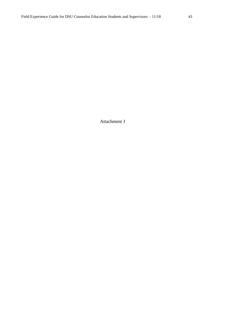Attachment J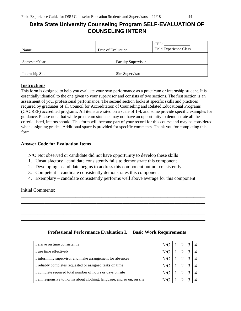# **Delta State University Counseling Program SELF-EVALUATION OF COUNSELING INTERN**

| Name            | Date of Evaluation |                           | CED:<br><b>Field Experience Class</b> |
|-----------------|--------------------|---------------------------|---------------------------------------|
| Semester/Year   |                    | <b>Faculty Supervisor</b> |                                       |
| Internship Site |                    | Site Supervisor           |                                       |

#### **Instructions**

This form is designed to help you evaluate your own performance as a practicum or internship student. It is essentially identical to the one given to your supervisor and consists of two sections. The first section is an assessment of your professional performance. The second section looks at specific skills and practices required by graduates of all Council for Accreditation of Counseling and Related Educational Programs (CACREP) accredited programs. All items are rated on a scale of 1-4, and some provide specific examples for guidance. Please note that while practicum students may not have an opportunity to demonstrate all the criteria listed, interns should. This form will become part of your record for this course and may be considered when assigning grades. Additional space is provided for specific comments. Thank you for completing this form.

#### **Answer Code for Evaluation Items**

N/O Not observed or candidate did not have opportunity to develop these skills

- 1. Unsatisfactory– candidate consistently fails to demonstrate this component
- 2. Developing- candidate begins to address this component but not consistently
- 3. Competent candidate consistently demonstrates this component
- 4. Exemplary candidate consistently performs well above average for this component

\_\_\_\_\_\_\_\_\_\_\_\_\_\_\_\_\_\_\_\_\_\_\_\_\_\_\_\_\_\_\_\_\_\_\_\_\_\_\_\_\_\_\_\_\_\_\_\_\_\_\_\_\_\_\_\_\_\_\_\_\_\_\_\_\_\_\_\_\_\_\_\_\_\_\_\_\_\_ \_\_\_\_\_\_\_\_\_\_\_\_\_\_\_\_\_\_\_\_\_\_\_\_\_\_\_\_\_\_\_\_\_\_\_\_\_\_\_\_\_\_\_\_\_\_\_\_\_\_\_\_\_\_\_\_\_\_\_\_\_\_\_\_\_\_\_\_\_\_\_\_\_\_\_\_\_\_ \_\_\_\_\_\_\_\_\_\_\_\_\_\_\_\_\_\_\_\_\_\_\_\_\_\_\_\_\_\_\_\_\_\_\_\_\_\_\_\_\_\_\_\_\_\_\_\_\_\_\_\_\_\_\_\_\_\_\_\_\_\_\_\_\_\_\_\_\_\_\_\_\_\_\_\_\_\_ \_\_\_\_\_\_\_\_\_\_\_\_\_\_\_\_\_\_\_\_\_\_\_\_\_\_\_\_\_\_\_\_\_\_\_\_\_\_\_\_\_\_\_\_\_\_\_\_\_\_\_\_\_\_\_\_\_\_\_\_\_\_\_\_\_\_\_\_\_\_\_\_\_\_\_\_\_\_ \_\_\_\_\_\_\_\_\_\_\_\_\_\_\_\_\_\_\_\_\_\_\_\_\_\_\_\_\_\_\_\_\_\_\_\_\_\_\_\_\_\_\_\_\_\_\_\_\_\_\_\_\_\_\_\_\_\_\_\_\_\_\_\_\_\_\_\_\_\_\_\_\_\_\_\_\_\_

Initial Comments:

## **Professional Performance Evaluation I. Basic Work Requirements**

| I arrive on time consistently                                         | N/O        |  |  |
|-----------------------------------------------------------------------|------------|--|--|
| I use time effectively                                                | N/O        |  |  |
| I inform my supervisor and make arrangement for absences              | N/O        |  |  |
| I reliably completes requested or assigned tasks on time              | $N/\Omega$ |  |  |
| I complete required total number of hours or days on site             | $N/\Omega$ |  |  |
| I am responsive to norms about clothing, language, and so on, on site |            |  |  |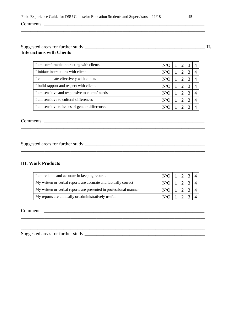| Suggested areas for further study: |  |
|------------------------------------|--|
| <b>Interactions with Clients</b>   |  |

| I am comfortable interacting with clients       | N/O |  | $\overline{4}$ |
|-------------------------------------------------|-----|--|----------------|
| I initiate interactions with clients            | N/O |  |                |
| I communicate effectively with clients          | N/O |  |                |
| I build rapport and respect with clients        | N/O |  | 4              |
| I am sensitive and responsive to clients' needs | N/O |  |                |
| I am sensitive to cultural differences          | N/O |  |                |
| I am sensitive to issues of gender differences  |     |  |                |

\_\_\_\_\_\_\_\_\_\_\_\_\_\_\_\_\_\_\_\_\_\_\_\_\_\_\_\_\_\_\_\_\_\_\_\_\_\_\_\_\_\_\_\_\_\_\_\_\_\_\_\_\_\_\_\_\_\_\_\_\_\_\_\_\_\_\_\_\_\_\_\_\_\_\_\_\_\_ \_\_\_\_\_\_\_\_\_\_\_\_\_\_\_\_\_\_\_\_\_\_\_\_\_\_\_\_\_\_\_\_\_\_\_\_\_\_\_\_\_\_\_\_\_\_\_\_\_\_\_\_\_\_\_\_\_\_\_\_\_\_\_\_\_\_\_\_\_\_\_\_\_\_\_\_\_\_

\_\_\_\_\_\_\_\_\_\_\_\_\_\_\_\_\_\_\_\_\_\_\_\_\_\_\_\_\_\_\_\_\_\_\_\_\_\_\_\_\_\_\_\_\_\_\_\_\_\_\_\_\_\_\_\_\_\_\_\_\_\_\_\_\_\_\_\_\_\_\_\_\_\_\_\_\_\_

Comments: \_\_\_\_\_\_\_\_\_\_\_\_\_\_\_\_\_\_\_\_\_\_\_\_\_\_\_\_\_\_\_\_\_\_\_\_\_\_\_\_\_\_\_\_\_\_\_\_\_\_\_\_\_\_\_\_\_\_\_\_\_\_\_\_\_\_\_\_

Suggested areas for further study:\_\_\_\_\_\_\_\_\_\_\_\_\_\_\_\_\_\_\_\_\_\_\_\_\_\_\_\_\_\_\_\_\_\_\_\_\_\_\_\_\_\_\_\_\_\_\_\_\_\_\_

#### **III. Work Products**

| I am reliable and accurate in keeping records                     | $N/O$ 1 2 3 4         |                                       |  |  |
|-------------------------------------------------------------------|-----------------------|---------------------------------------|--|--|
| My written or verbal reports are accurate and factually correct   | $N/O$ $1$ $2$ $3$ $4$ |                                       |  |  |
| My written or verbal reports are presented in professional manner | N/O                   | $\vert \vert$ 1 $\vert \vert$ $\vert$ |  |  |
| My reports are clinically or administratively useful              | N/O                   |                                       |  |  |

\_\_\_\_\_\_\_\_\_\_\_\_\_\_\_\_\_\_\_\_\_\_\_\_\_\_\_\_\_\_\_\_\_\_\_\_\_\_\_\_\_\_\_\_\_\_\_\_\_\_\_\_\_\_\_\_\_\_\_\_\_\_\_\_\_\_\_\_\_\_\_\_\_\_\_\_\_\_ \_\_\_\_\_\_\_\_\_\_\_\_\_\_\_\_\_\_\_\_\_\_\_\_\_\_\_\_\_\_\_\_\_\_\_\_\_\_\_\_\_\_\_\_\_\_\_\_\_\_\_\_\_\_\_\_\_\_\_\_\_\_\_\_\_\_\_\_\_\_\_\_\_\_\_\_\_\_

\_\_\_\_\_\_\_\_\_\_\_\_\_\_\_\_\_\_\_\_\_\_\_\_\_\_\_\_\_\_\_\_\_\_\_\_\_\_\_\_\_\_\_\_\_\_\_\_\_\_\_\_\_\_\_\_\_\_\_\_\_\_\_\_\_\_\_\_\_\_\_\_\_\_\_\_\_\_

\_\_\_\_\_\_\_\_\_\_\_\_\_\_\_\_\_\_\_\_\_\_\_\_\_\_\_\_\_\_\_\_\_\_\_\_\_\_\_\_\_\_\_\_\_\_\_\_\_\_\_\_\_\_\_\_\_\_\_\_\_\_\_\_\_\_\_\_\_\_\_\_\_\_\_\_\_\_

Comments: \_\_\_\_\_\_\_\_\_\_\_\_\_\_\_\_\_\_\_\_\_\_\_\_\_\_\_\_\_\_\_\_\_\_\_\_\_\_\_\_\_\_\_\_\_\_\_\_\_\_\_\_\_\_\_\_\_\_\_\_\_\_\_\_\_\_\_\_

Suggested areas for further study:\_\_\_\_\_\_\_\_\_\_\_\_\_\_\_\_\_\_\_\_\_\_\_\_\_\_\_\_\_\_\_\_\_\_\_\_\_\_\_\_\_\_\_\_\_\_\_\_\_\_\_

Suggested areas for further study:\_\_\_\_\_\_\_\_\_\_\_\_\_\_\_\_\_\_\_\_\_\_\_\_\_\_\_\_\_\_\_\_\_\_\_\_\_\_\_\_\_\_\_\_\_\_\_\_\_\_\_ **II.**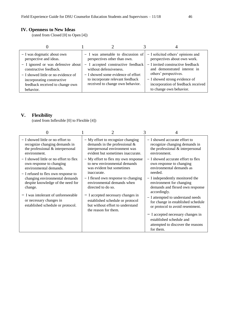## **IV. Openness to New Ideas**

(rated from Closed [0] to Open [4])

| - I was dogmatic about own<br>perspective and ideas.                                                              | - I was amenable to discussion of<br>perspectives other than own.                                  | - I solicited others' opinions and<br>perspectives about own work.                             |
|-------------------------------------------------------------------------------------------------------------------|----------------------------------------------------------------------------------------------------|------------------------------------------------------------------------------------------------|
| - I ignored or was defensive about<br>constructive feedback.                                                      | - I accepted constructive feedback<br>without defensiveness.<br>- I showed some evidence of effort | - I invited constructive feedback<br>and demonstrated interest in<br>others' perspectives.     |
| - I showed little or no evidence of<br>incorporating constructive<br>feedback received to change own<br>behavior. | to incorporate relevant feedback<br>received to change own behavior.                               | - I showed strong evidence of<br>incorporation of feedback received<br>to change own behavior. |

## **V. Flexibility**

(rated from Inflexible [0] to Flexible [4])

| $-$ I showed little or no effort to<br>recognize changing demands in<br>the professional & interpersonal<br>environment.            | - My effort to recognize changing<br>demands in the professional $\&$<br>interpersonal environment was<br>evident but sometimes inaccurate. | - I showed accurate effort to<br>recognize changing demands in<br>the professional & interpersonal<br>environment. |
|-------------------------------------------------------------------------------------------------------------------------------------|---------------------------------------------------------------------------------------------------------------------------------------------|--------------------------------------------------------------------------------------------------------------------|
| - I showed little or no effort to flex<br>own response to changing<br>environmental demands.<br>- I refused to flex own response to | - My effort to flex my own response<br>to new environmental demands<br>was evident but sometimes<br>inaccurate.                             | - I showed accurate effort to flex<br>own response to changing<br>environmental demands as<br>needed.              |
| changing environmental demands<br>despite knowledge of the need for<br>change.                                                      | - I flexed own response to changing<br>environmental demands when<br>directed to do so.                                                     | - I independently monitored the<br>environment for changing<br>demands and flexed own response<br>accordingly.     |
| $-$ I was intolerant of unforeseeable<br>or necessary changes in<br>established schedule or protocol.                               | - I accepted necessary changes in<br>established schedule or protocol<br>but without effort to understand<br>the reason for them.           | - I attempted to understand needs<br>for change in established schedule<br>or protocol to avoid resentment.        |
|                                                                                                                                     |                                                                                                                                             | - I accepted necessary changes in<br>established schedule and<br>attempted to discover the reasons<br>for them.    |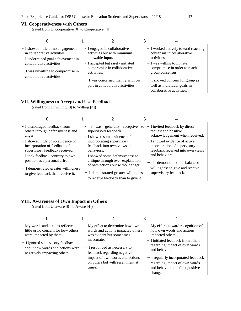#### **VI. Cooperativeness with Others**

(rated from Uncooperative [0] to Cooperative [4])

| - I showed little or no engagement   | - I engaged in collaborative                                           | - I worked actively toward reaching                                                         |
|--------------------------------------|------------------------------------------------------------------------|---------------------------------------------------------------------------------------------|
| in collaborative activities.         | activities but with minimum                                            | consensus in collaborative                                                                  |
| - I undermined goal achievement in   | allowable input.                                                       | activities.                                                                                 |
| collaborative activities.            | - I accepted but rarely initiated                                      | $- I$ was willing to initiate                                                               |
| $- I$ was unwilling to compromise in | compromise in collaborative                                            | compromise in order to reach                                                                |
| collaborative activities.            | activities.                                                            | group consensus.                                                                            |
|                                      | - I was concerned mainly with own<br>part in collaborative activities. | - I showed concern for group as<br>well as individual goals in<br>collaborative activities. |

## **VII. Willingness to Accept and Use Feedback**

(rated from Unwilling [0] to Willing [4])

| - I discouraged feedback from<br>others through defensiveness and<br>anger.<br>$-$ I showed little or no evidence of<br>incorporation of feedback of<br>supervisory feedback received. | - I was generally receptive<br>to<br>supervisory feedback.<br>$-$ I showed some evidence of<br>incorporating supervisory<br>feedback into own views and<br>behaviors.                     | - I invited feedback by direct<br>request and positive<br>acknowledgement when received.<br>- I showed evidence of active<br>incorporation of supervisory<br>feedback received into own views |
|----------------------------------------------------------------------------------------------------------------------------------------------------------------------------------------|-------------------------------------------------------------------------------------------------------------------------------------------------------------------------------------------|-----------------------------------------------------------------------------------------------------------------------------------------------------------------------------------------------|
| - I took feedback contrary to own<br>position as a personal affront.<br>- I demonstrated greater willingness<br>to give feedback than receive it.                                      | - I showed some defensiveness to<br>critique through over-explanation<br>of own actions but without anger<br>- I demonstrated greater willingness<br>to receive feedback than to give it. | and behaviors.<br>I demonstrated a balanced<br>willingness to give and receive<br>supervisory feedback.                                                                                       |

## **VIII. Awareness of Own Impact on Others**

(rated from Unaware [0] to Aware [4])

| - My words and actions reflected<br>little or no concern for how others<br>were impacted by them.<br>- I ignored supervisory feedback<br>about how words and actions were<br>negatively impacting others. | - My effort to determine how own<br>words and actions impacted others<br>was evident but sometimes<br>inaccurate.<br>- I responded as necessary to<br>feedback regarding negative<br>impact of own words and actions<br>on others but with resentment at<br>times. | - My efforts toward recognition of<br>how own words and actions<br>impacted others.<br>- I initiated feedback from others<br>regarding impact of own words<br>and behaviors.<br>- I regularly incorporated feedback<br>regarding impact of own words<br>and behaviors to effect positive<br>change. |
|-----------------------------------------------------------------------------------------------------------------------------------------------------------------------------------------------------------|--------------------------------------------------------------------------------------------------------------------------------------------------------------------------------------------------------------------------------------------------------------------|-----------------------------------------------------------------------------------------------------------------------------------------------------------------------------------------------------------------------------------------------------------------------------------------------------|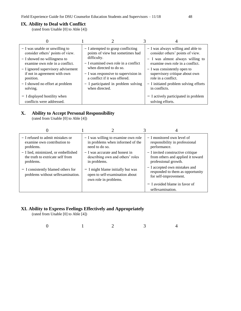#### **IX. Ability to Deal with Conflict**

(rated from Unable [0] to Able [4])

| - I was unable or unwilling to<br>consider others' points of view.<br>- I showed no willingness to<br>examine own role in a conflict.<br>- I ignored supervisory advisement<br>if not in agreement with own<br>position.<br>- I showed no effort at problem | - I attempted to grasp conflicting<br>points of view but sometimes had<br>difficulty.<br>$-$ I examined own role in a conflict<br>when directed to do so.<br>- I was responsive to supervision in<br>a conflict if it was offered.<br>- I participated in problem solving | - I was always willing and able to<br>consider others' points of view.<br>- I was almost always willing to<br>examine own role in a conflict.<br>- I was consistently open to<br>supervisory critique about own<br>role in a conflict.<br>- I initiated problem solving efforts |
|-------------------------------------------------------------------------------------------------------------------------------------------------------------------------------------------------------------------------------------------------------------|---------------------------------------------------------------------------------------------------------------------------------------------------------------------------------------------------------------------------------------------------------------------------|---------------------------------------------------------------------------------------------------------------------------------------------------------------------------------------------------------------------------------------------------------------------------------|
| solving.<br>- I displayed hostility when<br>conflicts were addressed.                                                                                                                                                                                       | when directed.                                                                                                                                                                                                                                                            | in conflicts.<br>- I actively participated in problem<br>solving efforts.                                                                                                                                                                                                       |

## **X. Ability to Accept Personal Responsibility**

(rated from Unable [0] to Able [4])

| - I refused to admit mistakes or<br>examine own contribution to<br>problems.         | - I was willing to examine own role<br>in problems when informed of the<br>need to do so.      | - I monitored own level of<br>responsibility in professional<br>performance.                   |
|--------------------------------------------------------------------------------------|------------------------------------------------------------------------------------------------|------------------------------------------------------------------------------------------------|
| - I lied, minimized, or embellished<br>the truth to extricate self from<br>problems. | $-$ I was accurate and honest in<br>describing own and others' roles<br>in problems.           | - I invited constructive critique<br>from others and applied it toward<br>professional growth. |
| - I consistently blamed others for<br>problems without selfexamination.              | $-$ I might blame initially but was<br>open to self-examination about<br>own role in problems. | - I accepted own mistakes and<br>responded to them as opportunity<br>for self-improvement.     |
|                                                                                      |                                                                                                | $-$ I avoided blame in favor of<br>selfexamination.                                            |

#### **XI. Ability to Express Feelings Effectively and Appropriately**

(rated from Unable [0] to Able [4])

| $\mathbf 0$ |
|-------------|
|-------------|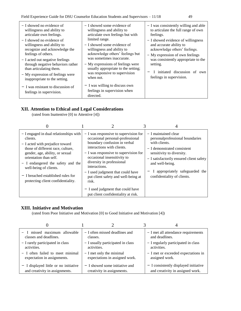| $-$ I showed no evidence of<br>willingness and ability to<br>articulate own feelings.<br>$-$ I showed no evidence of<br>willingness and ability to<br>recognize and acknowledge the<br>feelings of others.<br>- I acted out negative feelings<br>through negative behaviors rather<br>than articulating them.<br>- My expression of feelings were<br>inappropriate to the setting. | - I showed some evidence of<br>willingness and ability to<br>articulate own feelings but with<br>limited range.<br>$-$ I showed some evidence of<br>willingness and ability to<br>acknowledge others' feelings but<br>was sometimes inaccurate.<br>- My expressions of feelings were<br>usually appropriate to the setting;<br>was responsive to supervision<br>when not. | - I was consistently willing and able<br>to articulate the full range of own<br>feelings.<br>- I showed evidence of willingness<br>and accurate ability to<br>acknowledge others' feelings.<br>- My expression of own feelings<br>was consistently appropriate to the<br>setting.<br>I initiated discussion of own<br>feelings in supervision. |
|------------------------------------------------------------------------------------------------------------------------------------------------------------------------------------------------------------------------------------------------------------------------------------------------------------------------------------------------------------------------------------|---------------------------------------------------------------------------------------------------------------------------------------------------------------------------------------------------------------------------------------------------------------------------------------------------------------------------------------------------------------------------|------------------------------------------------------------------------------------------------------------------------------------------------------------------------------------------------------------------------------------------------------------------------------------------------------------------------------------------------|
| $-$ I was resistant to discussion of<br>feelings in supervision.                                                                                                                                                                                                                                                                                                                   | - I was willing to discuss own<br>feelings in supervision when<br>directed.                                                                                                                                                                                                                                                                                               |                                                                                                                                                                                                                                                                                                                                                |

## **XII. Attention to Ethical and Legal Considerations**

(rated from Inattentive [0] to Attentive [4])

| - I engaged in dual relationships with<br>clients.<br>- I acted with prejudice toward<br>those of different race, culture,<br>gender, age, ability, or sexual<br>orientation than self.<br>- I endangered the safety and the<br>well-being of clients.<br>$-$ I breached established rules for<br>protecting client confidentiality. | - I was responsive to supervision for<br>occasional personal-professional<br>boundary confusion in verbal<br>interactions with clients.<br>- I was responsive to supervision for<br>occasional insensitivity to<br>diversity in professional<br>interactions.<br>- I used judgment that could have<br>put client safety and well-being at<br>risk.<br>- I used judgment that could have<br>put client confidentiality at risk. | - I maintained clear<br>personal professional boundaries<br>with clients.<br>- I demonstrated consistent<br>sensitivity to diversity.<br>- I satisfactorily ensured client safety<br>and well-being.<br>appropriately safeguarded the<br>confidentiality of clients. |
|--------------------------------------------------------------------------------------------------------------------------------------------------------------------------------------------------------------------------------------------------------------------------------------------------------------------------------------|--------------------------------------------------------------------------------------------------------------------------------------------------------------------------------------------------------------------------------------------------------------------------------------------------------------------------------------------------------------------------------------------------------------------------------|----------------------------------------------------------------------------------------------------------------------------------------------------------------------------------------------------------------------------------------------------------------------|

### **XIII. Initiative and Motivation**

(rated from Poor Initiative and Motivation [0] to Good Initiative and Motivation [4])

| - I missed maximum allowable            | - I often missed deadlines and    | - I met all attendance requirements     |
|-----------------------------------------|-----------------------------------|-----------------------------------------|
| classes and deadlines.                  | classes.                          | and deadlines.                          |
| - I rarely participated in class        | - I usually participated in class | - I regularly participated in class     |
| activities.                             | activities.                       | activities.                             |
| - I often failed to meet minimal        | $- I$ met only the minimal        | - I met or exceeded expectations in     |
| expectation in assignments.             | expectations in assigned work.    | assigned work.                          |
| $-$ I displayed little or no initiative | $-$ I showed some initiative and  | $-$ I consistently displayed initiative |
| and creativity in assignments.          | creativity in assignments.        | and creativity in assigned work.        |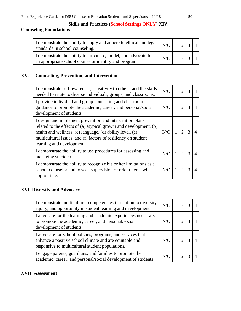#### **Skills and Practices (School Settings ONLY) XIV.**

## **Counseling Foundations**

| I demonstrate the ability to apply and adhere to ethical and legal $\left  N/O \right  1 \left  2 \left  3 \right  4 \right $<br>standards in school counseling. |                       |  |  |
|------------------------------------------------------------------------------------------------------------------------------------------------------------------|-----------------------|--|--|
| I demonstrate the ability to articulate, model, and advocate for<br>an appropriate school counselor identity and program.                                        | $N/O$ $1$ $2$ $3$ $4$ |  |  |

## **XV. Counseling, Prevention, and Intervention**

| I demonstrate self-awareness, sensitivity to others, and the skills<br>needed to relate to diverse individuals, groups, and classrooms.                                                                                                                                                    | N/O | $\overline{2}$              | 3 |  |
|--------------------------------------------------------------------------------------------------------------------------------------------------------------------------------------------------------------------------------------------------------------------------------------------|-----|-----------------------------|---|--|
| I provide individual and group counseling and classroom<br>guidance to promote the academic, career, and personal/social<br>development of students.                                                                                                                                       | N/O | $\mathcal{D}_{\mathcal{A}}$ | 3 |  |
| I design and implement prevention and intervention plans<br>related to the effects of (a) atypical growth and development, (b)<br>health and wellness, (c) language, (d) ability level, (e)<br>multicultural issues, and (f) factors of resiliency on student<br>learning and development. | N/O | $\mathcal{D}_{\mathcal{A}}$ | 3 |  |
| I demonstrate the ability to use procedures for assessing and<br>managing suicide risk.                                                                                                                                                                                                    | N/O | $\mathcal{D}$               | 3 |  |
| I demonstrate the ability to recognize his or her limitations as a<br>school counselor and to seek supervision or refer clients when<br>appropriate.                                                                                                                                       | N/O | $\mathcal{D}_{\mathcal{L}}$ | 3 |  |

### **XVI. Diversity and Advocacy**

| I demonstrate multicultural competencies in relation to diversity,<br>equity, and opportunity in student learning and development.                                         | N/O |  |  |
|----------------------------------------------------------------------------------------------------------------------------------------------------------------------------|-----|--|--|
| I advocate for the learning and academic experiences necessary<br>to promote the academic, career, and personal/social<br>development of students.                         |     |  |  |
| I advocate for school policies, programs, and services that<br>enhance a positive school climate and are equitable and<br>responsive to multicultural student populations. | N/O |  |  |
| I engage parents, guardians, and families to promote the<br>academic, career, and personal/social development of students.                                                 | N/O |  |  |

### **XVII. Assessment**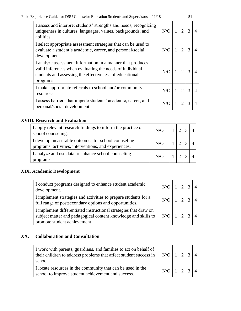| I assess and interpret students' strengths and needs, recognizing<br>uniqueness in cultures, languages, values, backgrounds, and<br>abilities.                                                 | N/O | $\mathbf{1}$ | $\overline{2}$              | 3             | 4 |
|------------------------------------------------------------------------------------------------------------------------------------------------------------------------------------------------|-----|--------------|-----------------------------|---------------|---|
| I select appropriate assessment strategies that can be used to<br>evaluate a student's academic, career, and personal/social<br>development.                                                   | N/O |              | $\mathcal{D}_{\mathcal{A}}$ | $\mathcal{R}$ | 4 |
| I analyze assessment information in a manner that produces<br>valid inferences when evaluating the needs of individual<br>students and assessing the effectiveness of educational<br>programs. | N/O |              | $\mathcal{D}_{\mathcal{L}}$ | $\mathcal{R}$ |   |
| I make appropriate referrals to school and/or community<br>resources.                                                                                                                          | N/O | 1            | $\overline{2}$              | 3             |   |
| I assess barriers that impede students' academic, career, and<br>personal/social development.                                                                                                  | N/O |              |                             | 3             | 4 |

## **XVIII. Research and Evaluation**

| I apply relevant research findings to inform the practice of<br>school counseling.                           | $N/O$   1   2   3 |  |  |
|--------------------------------------------------------------------------------------------------------------|-------------------|--|--|
| I develop measurable outcomes for school counseling<br>programs, activities, interventions, and experiences. | $N/O$   1         |  |  |
| I analyze and use data to enhance school counseling<br>programs.                                             | $N/O$   1         |  |  |

## **XIX. Academic Development**

| I conduct programs designed to enhance student academic<br>development.                                                                                            |     |  |  |
|--------------------------------------------------------------------------------------------------------------------------------------------------------------------|-----|--|--|
| I implement strategies and activities to prepare students for a<br>full range of postsecondary options and opportunities.                                          |     |  |  |
| I implement differentiated instructional strategies that draw on<br>subject matter and pedagogical content knowledge and skills to<br>promote student achievement. | N/O |  |  |

## **XX. Collaboration and Consultation**

| I work with parents, guardians, and families to act on behalf of<br>their children to address problems that affect student success in<br>school. |     |  |  |
|--------------------------------------------------------------------------------------------------------------------------------------------------|-----|--|--|
| I locate resources in the community that can be used in the<br>school to improve student achievement and success.                                | N/O |  |  |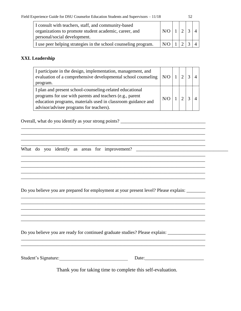\_\_\_\_\_\_\_\_\_\_\_\_\_\_\_\_\_\_\_\_\_\_\_\_\_\_\_\_\_\_\_\_\_\_\_\_\_\_\_\_\_\_\_\_\_\_\_\_\_\_\_\_\_\_\_\_\_\_\_\_\_\_\_\_\_\_\_\_\_\_\_\_\_\_\_\_\_\_

| I consult with teachers, staff, and community-based<br>organizations to promote student academic, career, and<br>personal/social development. | $N/\Omega$ |  |  |
|-----------------------------------------------------------------------------------------------------------------------------------------------|------------|--|--|
| I use peer helping strategies in the school counseling program.                                                                               | $N/\Omega$ |  |  |

### **XXI. Leadership**

| I participate in the design, implementation, management, and<br>evaluation of a comprehensive developmental school counseling   N/O  <br>program.                                                                               |     | $\sqrt{2}$ |  |
|---------------------------------------------------------------------------------------------------------------------------------------------------------------------------------------------------------------------------------|-----|------------|--|
| I plan and present school-counseling-related educational<br>programs for use with parents and teachers (e.g., parent<br>education programs, materials used in classroom guidance and<br>advisor/advisee programs for teachers). | N/O |            |  |

\_\_\_\_\_\_\_\_\_\_\_\_\_\_\_\_\_\_\_\_\_\_\_\_\_\_\_\_\_\_\_\_\_\_\_\_\_\_\_\_\_\_\_\_\_\_\_\_\_\_\_\_\_\_\_\_\_\_\_\_\_\_\_\_\_\_\_\_\_\_\_\_\_\_\_\_\_\_ \_\_\_\_\_\_\_\_\_\_\_\_\_\_\_\_\_\_\_\_\_\_\_\_\_\_\_\_\_\_\_\_\_\_\_\_\_\_\_\_\_\_\_\_\_\_\_\_\_\_\_\_\_\_\_\_\_\_\_\_\_\_\_\_\_\_\_\_\_\_\_\_\_\_\_\_\_\_ \_\_\_\_\_\_\_\_\_\_\_\_\_\_\_\_\_\_\_\_\_\_\_\_\_\_\_\_\_\_\_\_\_\_\_\_\_\_\_\_\_\_\_\_\_\_\_\_\_\_\_\_\_\_\_\_\_\_\_\_\_\_\_\_\_\_\_\_\_\_\_\_\_\_\_\_\_\_ \_\_\_\_\_\_\_\_\_\_\_\_\_\_\_\_\_\_\_\_\_\_\_\_\_\_\_\_\_\_\_\_\_\_\_\_\_\_\_\_\_\_\_\_\_\_\_\_\_\_\_\_\_\_\_\_\_\_\_\_\_\_\_\_\_\_\_\_\_\_\_\_\_\_\_\_\_\_

\_\_\_\_\_\_\_\_\_\_\_\_\_\_\_\_\_\_\_\_\_\_\_\_\_\_\_\_\_\_\_\_\_\_\_\_\_\_\_\_\_\_\_\_\_\_\_\_\_\_\_\_\_\_\_\_\_\_\_\_\_\_\_\_\_\_\_\_\_\_\_\_\_\_\_\_\_\_ \_\_\_\_\_\_\_\_\_\_\_\_\_\_\_\_\_\_\_\_\_\_\_\_\_\_\_\_\_\_\_\_\_\_\_\_\_\_\_\_\_\_\_\_\_\_\_\_\_\_\_\_\_\_\_\_\_\_\_\_\_\_\_\_\_\_\_\_\_\_\_\_\_\_\_\_\_\_ \_\_\_\_\_\_\_\_\_\_\_\_\_\_\_\_\_\_\_\_\_\_\_\_\_\_\_\_\_\_\_\_\_\_\_\_\_\_\_\_\_\_\_\_\_\_\_\_\_\_\_\_\_\_\_\_\_\_\_\_\_\_\_\_\_\_\_\_\_\_\_\_\_\_\_\_\_\_ \_\_\_\_\_\_\_\_\_\_\_\_\_\_\_\_\_\_\_\_\_\_\_\_\_\_\_\_\_\_\_\_\_\_\_\_\_\_\_\_\_\_\_\_\_\_\_\_\_\_\_\_\_\_\_\_\_\_\_\_\_\_\_\_\_\_\_\_\_\_\_\_\_\_\_\_\_\_

Overall, what do you identify as your strong points? \_\_\_\_\_\_\_\_\_\_\_\_\_\_\_\_\_\_\_\_\_\_\_\_\_\_\_\_\_\_\_\_\_\_\_\_

What do you identify as areas for improvement? \_\_\_\_\_\_\_\_\_\_\_\_\_\_\_\_\_\_\_\_\_\_\_\_\_\_\_\_\_\_\_\_\_

Do you believe you are prepared for employment at your present level? Please explain: \_\_\_\_\_\_\_\_

\_\_\_\_\_\_\_\_\_\_\_\_\_\_\_\_\_\_\_\_\_\_\_\_\_\_\_\_\_\_\_\_\_\_\_\_\_\_\_\_\_\_\_\_\_\_\_\_\_\_\_\_\_\_\_\_\_\_\_\_\_\_\_\_\_\_\_\_\_\_\_\_\_\_\_\_\_\_ \_\_\_\_\_\_\_\_\_\_\_\_\_\_\_\_\_\_\_\_\_\_\_\_\_\_\_\_\_\_\_\_\_\_\_\_\_\_\_\_\_\_\_\_\_\_\_\_\_\_\_\_\_\_\_\_\_\_\_\_\_\_\_\_\_\_\_\_\_\_\_\_\_\_\_\_\_\_ \_\_\_\_\_\_\_\_\_\_\_\_\_\_\_\_\_\_\_\_\_\_\_\_\_\_\_\_\_\_\_\_\_\_\_\_\_\_\_\_\_\_\_\_\_\_\_\_\_\_\_\_\_\_\_\_\_\_\_\_\_\_\_\_\_\_\_\_\_\_\_\_\_\_\_\_\_\_ \_\_\_\_\_\_\_\_\_\_\_\_\_\_\_\_\_\_\_\_\_\_\_\_\_\_\_\_\_\_\_\_\_\_\_\_\_\_\_\_\_\_\_\_\_\_\_\_\_\_\_\_\_\_\_\_\_\_\_\_\_\_\_\_\_\_\_\_\_\_\_\_\_\_\_\_\_\_ \_\_\_\_\_\_\_\_\_\_\_\_\_\_\_\_\_\_\_\_\_\_\_\_\_\_\_\_\_\_\_\_\_\_\_\_\_\_\_\_\_\_\_\_\_\_\_\_\_\_\_\_\_\_\_\_\_\_\_\_\_\_\_\_\_\_\_\_\_\_\_\_\_\_\_\_\_\_

\_\_\_\_\_\_\_\_\_\_\_\_\_\_\_\_\_\_\_\_\_\_\_\_\_\_\_\_\_\_\_\_\_\_\_\_\_\_\_\_\_\_\_\_\_\_\_\_\_\_\_\_\_\_\_\_\_\_\_\_\_\_\_\_\_\_\_\_\_\_\_\_\_\_\_\_\_\_ \_\_\_\_\_\_\_\_\_\_\_\_\_\_\_\_\_\_\_\_\_\_\_\_\_\_\_\_\_\_\_\_\_\_\_\_\_\_\_\_\_\_\_\_\_\_\_\_\_\_\_\_\_\_\_\_\_\_\_\_\_\_\_\_\_\_\_\_\_\_\_\_\_\_\_\_\_\_

Do you believe you are ready for continued graduate studies? Please explain: \_\_\_\_\_\_\_\_\_\_\_\_\_\_\_\_\_\_\_\_\_\_\_

Student's Signature:\_\_\_\_\_\_\_\_\_\_\_\_\_\_\_\_\_\_\_\_\_\_\_\_\_\_\_\_\_ Date:\_\_\_\_\_\_\_\_\_\_\_\_\_\_\_\_\_\_\_\_\_\_\_\_\_

Thank you for taking time to complete this self-evaluation.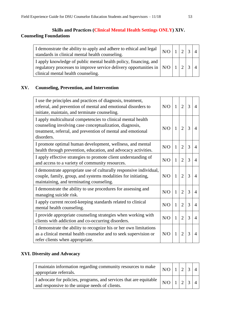## **Skills and Practices (Clinical Mental Health Settings ONLY) XIV. Counseling Foundations**

| I demonstrate the ability to apply and adhere to ethical and legal $\left  N/O \right  1 \left  2 \right  3 \left  4 \right $<br>standards in clinical mental health counseling.          |  |  |  |
|-------------------------------------------------------------------------------------------------------------------------------------------------------------------------------------------|--|--|--|
| I apply knowledge of public mental health policy, financing, and<br>regulatory processes to improve service delivery opportunities in $ N/O 1 2 $ :<br>clinical mental health counseling. |  |  |  |

## **XV. Counseling, Prevention, and Intervention**

| I use the principles and practices of diagnosis, treatment,<br>referral, and prevention of mental and emotional disorders to<br>initiate, maintain, and terminate counseling.                        | N/O | $\mathbf{1}$ | $\overline{2}$ | 3 | $\overline{4}$ |
|------------------------------------------------------------------------------------------------------------------------------------------------------------------------------------------------------|-----|--------------|----------------|---|----------------|
| I apply multicultural competencies to clinical mental health<br>counseling involving case conceptualization, diagnosis,<br>treatment, referral, and prevention of mental and emotional<br>disorders. | N/O | $\mathbf{1}$ | $\overline{2}$ | 3 | $\overline{4}$ |
| I promote optimal human development, wellness, and mental<br>health through prevention, education, and advocacy activities.                                                                          | N/O | $\mathbf{1}$ | $\overline{2}$ | 3 | 4              |
| I apply effective strategies to promote client understanding of<br>and access to a variety of community resources.                                                                                   | N/O | 1            | $\overline{2}$ | 3 | 4              |
| I demonstrate appropriate use of culturally responsive individual,<br>couple, family, group, and systems modalities for initiating,<br>maintaining, and terminating counseling.                      | N/O | $\mathbf{1}$ | $\overline{2}$ | 3 | $\overline{4}$ |
| I demonstrate the ability to use procedures for assessing and<br>managing suicide risk.                                                                                                              | N/O | 1            | $\overline{2}$ | 3 | 4              |
| I apply current record-keeping standards related to clinical<br>mental health counseling.                                                                                                            | N/O | $\mathbf{1}$ | $\overline{2}$ | 3 | 4              |
| I provide appropriate counseling strategies when working with<br>clients with addiction and co-occurring disorders.                                                                                  | N/O | 1            | $\overline{2}$ | 3 | 4              |
| I demonstrate the ability to recognize his or her own limitations<br>as a clinical mental health counselor and to seek supervision or<br>refer clients when appropriate.                             | N/O | 1            | $\overline{2}$ | 3 | 4              |

## **XVI. Diversity and Advocacy**

| I maintain information regarding community resources to make<br>appropriate referrals.                                                                  | $\mid N/O \mid$ . | $\sqrt{2}$ |  |
|---------------------------------------------------------------------------------------------------------------------------------------------------------|-------------------|------------|--|
| $\sqrt{1}$ advocate for policies, programs, and services that are equitable $\sqrt{N/O}$   $\sqrt{1}$<br>and responsive to the unique needs of clients. |                   |            |  |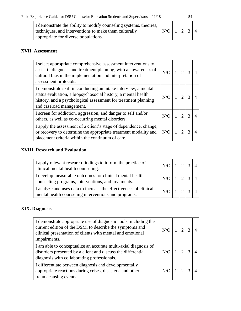| ۰.     |
|--------|
| ٠<br>i |

| I demonstrate the ability to modify counseling systems, theories, |               |  |  |
|-------------------------------------------------------------------|---------------|--|--|
| techniques, and interventions to make them culturally             | $N/O$ 1 2 3 4 |  |  |
| appropriate for diverse populations.                              |               |  |  |

## **XVII. Assessment**

| I select appropriate comprehensive assessment interventions to<br>assist in diagnosis and treatment planning, with an awareness of<br>cultural bias in the implementation and interpretation of<br>assessment protocols.       | N/O |   | $\mathfrak{D}$              | 3 |  |
|--------------------------------------------------------------------------------------------------------------------------------------------------------------------------------------------------------------------------------|-----|---|-----------------------------|---|--|
| I demonstrate skill in conducting an intake interview, a mental<br>status evaluation, a biopsychosocial history, a mental health<br>history, and a psychological assessment for treatment planning<br>and caseload management. | N/O |   | $\mathcal{D}_{\mathcal{A}}$ |   |  |
| I screen for addiction, aggression, and danger to self and/or<br>others, as well as co-occurring mental disorders.                                                                                                             | N/O |   | 2                           |   |  |
| I apply the assessment of a client's stage of dependence, change,<br>or recovery to determine the appropriate treatment modality and<br>placement criteria within the continuum of care.                                       | N/O | 1 | $\mathcal{D}$               | 3 |  |

## **XVIII. Research and Evaluation**

| I apply relevant research findings to inform the practice of<br>clinical mental health counseling.                        | N/O |  |  |
|---------------------------------------------------------------------------------------------------------------------------|-----|--|--|
| I develop measurable outcomes for clinical mental health<br>counseling programs, interventions, and treatments.           | N/O |  |  |
| I analyze and uses data to increase the effectiveness of clinical<br>mental health counseling interventions and programs. |     |  |  |

## **XIX. Diagnosis**

| I demonstrate appropriate use of diagnostic tools, including the<br>current edition of the DSM, to describe the symptoms and<br>clinical presentation of clients with mental and emotional<br>impairments. | N/O |  |  |
|------------------------------------------------------------------------------------------------------------------------------------------------------------------------------------------------------------|-----|--|--|
| I am able to conceptualize an accurate multi-axial diagnosis of<br>disorders presented by a client and discuss the differential<br>diagnosis with collaborating professionals.                             | N/O |  |  |
| I differentiate between diagnosis and developmentally<br>appropriate reactions during crises, disasters, and other<br>traumacausing events.                                                                |     |  |  |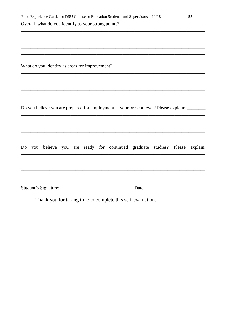|  |  |  | Field Experience Guide for DSU Counselor Education Students and Supervisors - 11/18           |       | 55 |
|--|--|--|-----------------------------------------------------------------------------------------------|-------|----|
|  |  |  |                                                                                               |       |    |
|  |  |  |                                                                                               |       |    |
|  |  |  |                                                                                               |       |    |
|  |  |  | ,我们也不会有什么。""我们的人,我们也不会有什么?""我们的人,我们也不会有什么?""我们的人,我们也不会有什么?""我们的人,我们也不会有什么?""我们的人              |       |    |
|  |  |  | What do you identify as areas for improvement? __________________________________             |       |    |
|  |  |  |                                                                                               |       |    |
|  |  |  |                                                                                               |       |    |
|  |  |  |                                                                                               |       |    |
|  |  |  | Do you believe you are prepared for employment at your present level? Please explain: _______ |       |    |
|  |  |  |                                                                                               |       |    |
|  |  |  | Do you believe you are ready for continued graduate studies? Please explain:                  |       |    |
|  |  |  |                                                                                               |       |    |
|  |  |  | Student's Signature:                                                                          | Date: |    |

Thank you for taking time to complete this self-evaluation.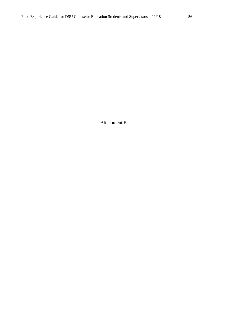Attachment K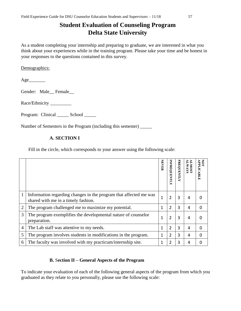# **Student Evaluation of Counseling Program Delta State University**

As a student completing your internship and preparing to graduate, we are interested in what you think about your experiences while in the training program. Please take your time and be honest in your responses to the questions contained in this survey.

Demographics:

 $Age$ 

Gender: Male\_Female\_

Race/Ethnicity \_\_\_\_\_\_\_\_\_\_

Program: Clinical \_\_\_\_\_\_ School

Number of Semesters in the Program (including this semester) \_\_\_\_\_

### **A. SECTION I**

Fill in the circle, which corresponds to your answer using the following scale:

|                |                                                                                                          | <b>NEVER</b> | INFREQUENTLY   | <b>FREQUENTLY</b> | <b>SAVMTN</b><br>LSOMTN | TddV<br>ICABLE |
|----------------|----------------------------------------------------------------------------------------------------------|--------------|----------------|-------------------|-------------------------|----------------|
|                | Information regarding changes in the program that affected me was<br>shared with me in a timely fashion. | 1            | 2              | 3                 | 4                       |                |
| $\overline{2}$ | The program challenged me to maximize my potential.                                                      | 1            | $\mathfrak{p}$ | 3                 | 4                       | $\Omega$       |
| 3              | The program exemplifies the developmental nature of counselor<br>preparation.                            | 1            | 2              | 3                 | 4                       | n              |
| $\overline{4}$ | The Lab staff was attentive to my needs.                                                                 | 1            | 2              | 3                 | 4                       | $\Omega$       |
| 5              | The program involves students in modifications in the program.                                           | 1            | 2              | 3                 | 4                       | $\Omega$       |
| 6              | The faculty was involved with my practicum/internship site.                                              | 1            | 2              | 3                 | 4                       | 0              |

### **B.** S**ection II – General Aspects of the Program**

To indicate your evaluation of each of the following general aspects of the program from which you graduated as they relate to you personally, please use the following scale: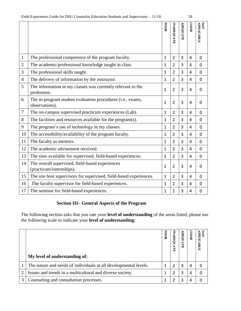|                |                                                                              | POOR         | INADEQUATE     | ADEQUATE | 0000 | <b>APPLICABLE</b><br>LON |
|----------------|------------------------------------------------------------------------------|--------------|----------------|----------|------|--------------------------|
| $\mathbf{1}$   | The professional competence of the program faculty.                          | 1            | $\overline{2}$ | 3        | 4    | 0                        |
| $\overline{2}$ | The academic/professional knowledge taught in class.                         | 1            | $\overline{2}$ | 3        | 4    | $\Omega$                 |
| 3              | The professional skills taught.                                              | 1            | $\overline{2}$ | 3        | 4    | 0                        |
| 4              | The delivery of information by the instructor.                               | $\mathbf{1}$ | $\overline{2}$ | 3        | 4    | 0                        |
| 5              | The information in my classes was currently relevant to the<br>profession.   | $\mathbf{1}$ | $\overline{2}$ | 3        | 4    | 0                        |
| 6              | The in-program student evaluation procedures (i.e., exams,<br>observations). | $\mathbf{1}$ | $\overline{2}$ | 3        | 4    | 0                        |
| 7              | The on-campus supervised practicum experiences (Lab).                        | 1            | $\overline{2}$ | 3        | 4    | 0                        |
| 8              | The facilities and resources available for the program(s).                   | $\mathbf{1}$ | $\overline{2}$ | 3        | 4    | $\overline{0}$           |
| 9              | The program's use of technology in my classes.                               | $\mathbf{1}$ | $\overline{2}$ | 3        | 4    | $\overline{0}$           |
| 10             | The accessibility/availability of the program faculty.                       | 1            | $\overline{2}$ | 3        | 4    | 0                        |
| 11             | The faculty as mentors.                                                      | 1            | $\overline{2}$ | 3        | 4    | 0                        |
| 12             | The academic advisement received.                                            | 1            | $\overline{2}$ | 3        | 4    | $\mathbf 0$              |
| 13             | The sites available for supervised, field-based experiences.                 | 1            | $\overline{2}$ | 3        | 4    | 0                        |
| 14             | The overall supervised, field-based experiences<br>(practicum/internships).  | $\mathbf{1}$ | $\overline{2}$ | 3        | 4    | 0                        |
| 15             | The site host supervisors for supervised, field-based experiences.           | $\mathbf{1}$ | $\overline{2}$ | 3        | 4    | 0                        |
| 16             | The faculty supervisor for field-based experiences.                          | 1            | $\overline{2}$ | 3        | 4    | 0                        |
| 17             | The seminar for field-based experiences.                                     | $\mathbf{1}$ | $\overline{2}$ | 3        | 4    | $\mathbf 0$              |

#### **Section III– General Aspects of the Program**

The following section asks that you rate your **level of understanding** of the areas listed, please use the following scale to indicate your **level of understanding:**

| My level of understanding of:                                    | <b>POOR</b> | E | <b>DEQU</b><br>ATE | COOL | ᇃ<br>BLE |
|------------------------------------------------------------------|-------------|---|--------------------|------|----------|
| The nature and needs of individuals at all developmental levels. |             |   | 3                  | 4    | 0        |
| Issues and trends in a multicultural and diverse society.        |             |   | 3                  | 4    | 0        |
| Counseling and consultation processes.                           |             |   | 3                  | 4    |          |

 $\overline{\phantom{a}}$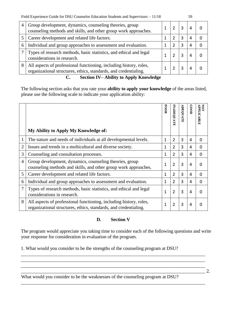| ۰.<br>×<br>٧ | ×<br>۰.<br>۰.<br>٠<br>v |
|--------------|-------------------------|

| 4 | Group development, dynamics, counseling theories, group<br>counseling methods and skills, and other group work approaches.             |  |  |  |
|---|----------------------------------------------------------------------------------------------------------------------------------------|--|--|--|
|   | Career development and related life factors.                                                                                           |  |  |  |
| 6 | Individual and group approaches to assessment and evaluation.                                                                          |  |  |  |
|   | Types of research methods, basic statistics, and ethical and legal<br>considerations in research.                                      |  |  |  |
| 8 | All aspects of professional functioning, including history, roles,<br>organizational structures, ethics, standards, and credentialing. |  |  |  |

**C. Section IV– Ability to Apply Knowledge** 

The following section asks that you rate your **ability to apply your knowledge** of the areas listed, please use the following scale to indicate your application ability:

|                | My Ability to Apply My Knowledge of:                                                                                                   | <b>POOR</b>  | INADEQUATE     | <b>ADEQUAT</b> | 0000 | APPLICABLE<br>Š |
|----------------|----------------------------------------------------------------------------------------------------------------------------------------|--------------|----------------|----------------|------|-----------------|
| $\mathbf{1}$   | The nature and needs of individuals at all developmental levels.                                                                       | $\mathbf{1}$ | $\overline{2}$ | 3              | 4    | 0               |
| $\overline{2}$ | Issues and trends in a multicultural and diverse society.                                                                              | 1            | 2              | 3              | 4    | 0               |
| 3              | Counseling and consultation processes.                                                                                                 | 1            | 2              | 3              | 4    | 0               |
| $\overline{4}$ | Group development, dynamics, counseling theories, group<br>counseling methods and skills, and other group work approaches.             | 1            | $\overline{2}$ | 3              | 4    | 0               |
| 5              | Career development and related life factors.                                                                                           | 1            | 2              | 3              | 4    | $\Omega$        |
| 6              | Individual and group approaches to assessment and evaluation.                                                                          | 1            | 2              | 3              | 4    | 0               |
| 7              | Types of research methods, basic statistics, and ethical and legal<br>considerations in research.                                      | 1            | 2              | 3              | 4    | 0               |
| 8              | All aspects of professional functioning, including history, roles,<br>organizational structures, ethics, standards, and credentialing. | 1            | 2              | 3              | 4    |                 |

## **D. Section V**

The program would appreciate you taking time to consider each of the following questions and write your response for consideration in evaluation of the program.

\_\_\_\_\_\_\_\_\_\_\_\_\_\_\_\_\_\_\_\_\_\_\_\_\_\_\_\_\_\_\_\_\_\_\_\_\_\_\_\_\_\_\_\_\_\_\_\_\_\_\_\_\_\_\_\_\_\_\_\_\_\_\_\_\_\_\_\_\_\_\_\_\_\_\_\_\_\_ \_\_\_\_\_\_\_\_\_\_\_\_\_\_\_\_\_\_\_\_\_\_\_\_\_\_\_\_\_\_\_\_\_\_\_\_\_\_\_\_\_\_\_\_\_\_\_\_\_\_\_\_\_\_\_\_\_\_\_\_\_\_\_\_\_\_\_\_\_\_\_\_\_\_\_\_\_\_

\_\_\_\_\_\_\_\_\_\_\_\_\_\_\_\_\_\_\_\_\_\_\_\_\_\_\_\_\_\_\_\_\_\_\_\_\_\_\_\_\_\_\_\_\_\_\_\_\_\_\_\_\_\_\_\_\_\_\_\_\_\_\_\_\_\_\_\_\_\_\_\_\_\_\_\_\_\_

1. What would you consider to be the strengths of the counseling program at DSU?

What would you consider to be the weaknesses of the counseling program at DSU?

 $\overline{\phantom{a}}$  2.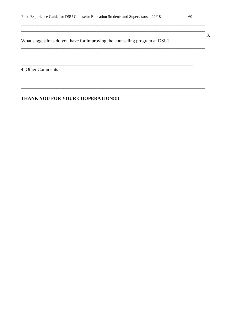What suggestions do you have for improving the counseling program at DSU?

<u> 23. marca - American American American American (d. 2005)</u>

<u> 1989 - Johann Stoff, amerikansk politiker (\* 1908)</u>

4. Other Comments

#### THANK YOU FOR YOUR COOPERATION !!!!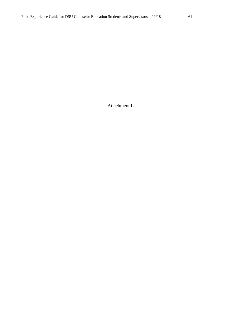Attachment L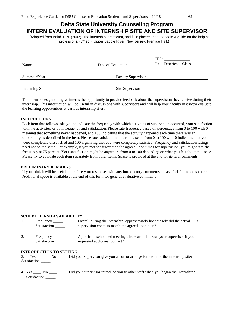## **Delta State University Counseling Program INTERN EVALUATION OF INTERNSHIP SITE AND SITE SUPERVISOR**

(Adapted from Baird. B.N. (2002). The internship, practicum, and field placement handbook: A guide for the helping professions. (3rd ed.). Upper Saddle River, New Jersey: Prentice Hall.)

| Name            | Date of Evaluation |                           | CED:<br>Field Experience Class |
|-----------------|--------------------|---------------------------|--------------------------------|
| Semester/Year   |                    | <b>Faculty Supervisor</b> |                                |
| Internship Site |                    | Site Supervisor           |                                |

This form is designed to give interns the opportunity to provide feedback about the supervision they receive during their internship. This information will be useful in discussions with supervisors and will help your faculty instructor evaluate the learning opportunities at various internship sites.

#### **INSTRUCTIONS**

Each item that follows asks you to indicate the frequency with which activities of supervision occurred, your satisfaction with the activities, or both frequency and satisfaction. Please rate frequency based on percentage from 0 to 100 with 0 meaning that something never happened, and 100 indicating that the activity happened each time there was an opportunity as described in the item. Please rate satisfaction on a rating scale from 0 to 100 with 0 indicating that you were completely dissatisfied and 100 signifying that you were completely satisfied. Frequency and satisfaction ratings need not be the same. For example, if you met for fewer than the agreed upon times for supervision, you might rate the frequency at 75 percent. Your satisfaction might be anywhere from 0 to 100 depending on what you felt about this issue. Please try to evaluate each item separately from other items. Space is provided at the end for general comments.

#### **PRELIMINARY REMARKS**

If you think it will be useful to preface your responses with any introductory comments, please feel free to do so here. Additional space is available at the end of this form for general evaluative comments

#### **SCHEDULE AND AVAILABILITY**

| Frequency ______<br>Satisfaction | Overall during the internship, approximately how closely did the actual<br>supervision contacts match the agreed upon plan? |  |
|----------------------------------|-----------------------------------------------------------------------------------------------------------------------------|--|
| Frequency                        | Apart from scheduled meetings, how available was your supervisor if you                                                     |  |

abie was your supervisor if yo Satisfaction **requested additional contact?** 

#### **INTRODUCTION TO SETTING**

3. Yes \_\_\_\_ No \_\_\_\_ Did your supervisor give you a tour or arrange for a tour of the internship site? Satisfaction \_\_\_\_\_

4. Yes \_\_\_\_\_ No \_\_\_\_ Satisfaction Did your supervisor introduce you to other staff when you began the internship?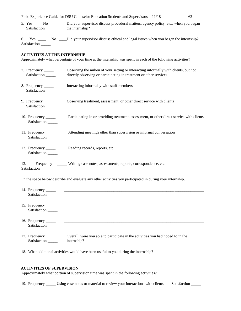Field Experience Guide for DSU Counselor Education Students and Supervisors – 11/18 63 5. Yes \_\_\_\_ No \_\_\_\_ Did your supervisor discuss procedural matters, agency policy, etc., when you began Satisfaction \_\_\_\_\_\_ the internship?

6. Yes \_\_\_\_ No \_\_\_\_ Did your supervisor discuss ethical and legal issues when you began the internship? Satisfaction

#### **ACTIVITIES AT THE INTERNSHIP**

Approximately what percentage of your time at the internship was spent in each of the following activities?

- 7. Frequency \_\_\_\_\_ Observing the milieu of your setting or interacting informally with clients, but not Satisfaction \_\_\_\_\_ directly observing or participating in treatment or other services 8. Frequency \_\_\_\_\_ Satisfaction \_\_\_\_\_ Interacting informally with staff members 9. Frequency \_\_\_\_\_\_ Satisfaction \_\_\_\_\_ Observing treatment, assessment, or other direct service with clients 10. Frequency \_\_\_\_\_ Satisfaction \_\_\_\_\_ Participating in or providing treatment, assessment, or other direct service with clients 11. Frequency Satisfaction  $\_\_$ Attending meetings other than supervision or informal conversation 12. Frequency \_\_\_\_\_ Satisfaction \_\_\_\_\_ Reading records, reports, etc. 13. Frequency \_\_\_\_\_ Writing case notes, assessments, reports, correspondence, etc. Satisfaction In the space below describe and evaluate any other activities you participated in during your internship. 14. Frequency \_\_\_\_\_ \_\_\_\_\_\_\_\_\_\_\_\_\_\_\_\_\_\_\_\_\_\_\_\_\_\_\_\_\_\_\_\_\_\_\_\_\_\_\_\_\_\_\_\_\_\_\_\_\_\_\_\_\_\_\_\_\_\_\_\_\_\_\_\_\_\_\_\_\_\_\_
- 15. Frequency \_\_\_\_\_ \_\_\_\_\_\_\_\_\_\_\_\_\_\_\_\_\_\_\_\_\_\_\_\_\_\_\_\_\_\_\_\_\_\_\_\_\_\_\_\_\_\_\_\_\_\_\_\_\_\_\_\_\_\_\_\_\_\_\_\_\_\_\_\_\_\_\_\_\_\_\_ Satisfaction \_\_\_\_\_\_ 16. Frequency \_\_\_\_\_ \_\_\_\_\_\_\_\_\_\_\_\_\_\_\_\_\_\_\_\_\_\_\_\_\_\_\_\_\_\_\_\_\_\_\_\_\_\_\_\_\_\_\_\_\_\_\_\_\_\_\_\_\_\_\_\_\_\_\_\_\_\_\_\_\_\_\_\_\_\_\_ Satisfaction \_\_\_\_\_

17. Frequency \_\_\_\_\_\_ Overall, were you able to participate in the activities you had hoped to in the Satisfaction \_\_\_\_\_\_ internship?

18. What additional activities would have been useful to you during the internship?

#### **ACTIVITIES OF SUPERVISION**

Satisfaction \_\_\_\_\_

Approximately what portion of supervision time was spent in the following activities?

19. Frequency \_\_\_\_\_\_ Using case notes or material to review your interactions with clients Satisfaction \_\_\_\_\_\_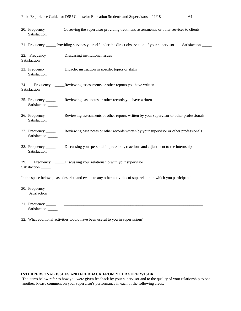- 20. Frequency \_\_\_\_\_ Observing the supervisor providing treatment, assessments, or other services to clients Satisfaction \_\_\_\_\_
- 21. Frequency \_\_\_\_\_ Providing services yourself under the direct observation of your supervisor Satisfaction \_\_\_\_\_
- 22. Frequency \_\_\_\_\_ Satisfaction \_\_\_\_\_ Discussing institutional issues
- 23. Frequency \_\_\_\_\_\_ Satisfaction Didactic instruction in specific topics or skills
- 24. Frequency \_\_\_\_\_ Reviewing assessments or other reports you have written Satisfaction \_\_\_\_\_
- 25. Frequency \_\_\_\_\_ Satisfaction Reviewing case notes or other records you have written
- 26. Frequency \_\_\_\_\_ Satisfaction \_\_\_\_\_ Reviewing assessments or other reports written by your supervisor or other professionals
- 27. Frequency \_\_\_\_\_ Satisfaction \_\_\_\_\_ Reviewing case notes or other records written by your supervisor or other professionals
- 28. Frequency \_\_\_\_\_ Satisfaction Discussing your personal impressions, reactions and adjustment to the internship
- 29. Frequency \_\_\_\_\_ Discussing your relationship with your supervisor Satisfaction \_\_\_\_\_

In the space below please describe and evaluate any other activities of supervision in which you participated.

- 30. Frequency \_\_\_\_\_ \_\_\_\_\_\_\_\_\_\_\_\_\_\_\_\_\_\_\_\_\_\_\_\_\_\_\_\_\_\_\_\_\_\_\_\_\_\_\_\_\_\_\_\_\_\_\_\_\_\_\_\_\_\_\_\_\_\_\_\_\_\_\_\_\_\_\_\_\_\_\_ Satisfaction \_\_\_\_\_\_
- 31. Frequency \_\_\_\_\_ \_\_\_\_\_\_\_\_\_\_\_\_\_\_\_\_\_\_\_\_\_\_\_\_\_\_\_\_\_\_\_\_\_\_\_\_\_\_\_\_\_\_\_\_\_\_\_\_\_\_\_\_\_\_\_\_\_\_\_\_\_\_\_\_\_\_\_\_\_\_\_ Satisfaction \_\_\_\_\_
- 32. What additional activities would have been useful to you in supervision?

#### **INTERPERSONAL ISSUES AND FEEDBACK FROM YOUR SUPERVISOR**

The items below refer to how you were given feedback by your supervisor and to the quality of your relationship to one another. Please comment on your supervisor's performance in each of the following areas: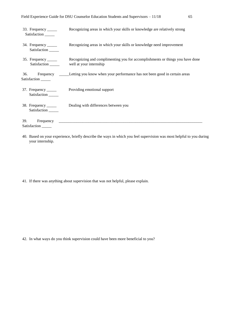| 33. Frequency ______<br>Satisfaction               | Recognizing areas in which your skills or knowledge are relatively strong                                |
|----------------------------------------------------|----------------------------------------------------------------------------------------------------------|
| 34. Frequency ______<br>Satisfaction               | Recognizing areas in which your skills or knowledge need improvement                                     |
| 35. Frequency ______<br>Satisfaction               | Recognizing and complimenting you for accomplishments or things you have done<br>well at your internship |
| 36.<br>Satisfaction ______                         | Frequency ______Letting you know when your performance has not been good in certain areas                |
| 37. Frequency $\frac{1}{\sqrt{2}}$<br>Satisfaction | Providing emotional support                                                                              |
| 38. Frequency ______<br>Satisfaction               | Dealing with differences between you                                                                     |
| 39.<br>Satisfaction                                |                                                                                                          |

40. Based on your experience, briefly describe the ways in which you feel supervision was most helpful to you during your internship.

41. If there was anything about supervision that was not helpful, please explain.

42. In what ways do you think supervision could have been more beneficial to you?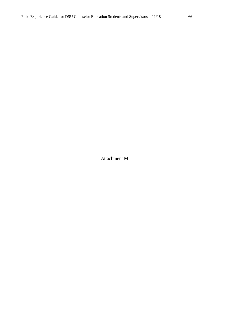Attachment M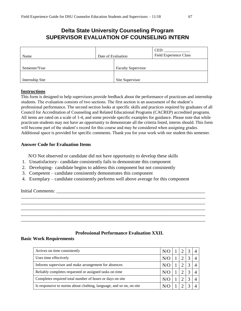# **Delta State University Counseling Program SUPERVISOR EVALUATION OF COUNSELING INTERN**

| Name            | Date of Evaluation |                           | CED:<br><b>Field Experience Class</b> |
|-----------------|--------------------|---------------------------|---------------------------------------|
| Semester/Year   |                    | <b>Faculty Supervisor</b> |                                       |
| Internship Site |                    | Site Supervisor           |                                       |

#### **Instructions**

This form is designed to help supervisors provide feedback about the performance of practicum and internship students. The evaluation consists of two sections. The first section is an assessment of the student's professional performance. The second section looks at specific skills and practices required by graduates of all Council for Accreditation of Counseling and Related Educational Programs (CACREP) accredited programs. All items are rated on a scale of 1-4, and some provide specific examples for guidance. Please note that while practicum students may not have an opportunity to demonstrate all the criteria listed, interns should. This form will become part of the student's record for this course and may be considered when assigning grades. Additional space is provided for specific comments. Thank you for your work with our student this semester.

### **Answer Code for Evaluation Items**

N/O Not observed or candidate did not have opportunity to develop these skills

- 1. Unsatisfactory– candidate consistently fails to demonstrate this component
- 2. Developing- candidate begins to address this component but not consistently
- 3. Competent candidate consistently demonstrates this component
- 4. Exemplary candidate consistently performs well above average for this component

\_\_\_\_\_\_\_\_\_\_\_\_\_\_\_\_\_\_\_\_\_\_\_\_\_\_\_\_\_\_\_\_\_\_\_\_\_\_\_\_\_\_\_\_\_\_\_\_\_\_\_\_\_\_\_\_\_\_\_\_\_\_\_\_\_\_\_\_\_\_\_\_\_\_\_\_\_\_ \_\_\_\_\_\_\_\_\_\_\_\_\_\_\_\_\_\_\_\_\_\_\_\_\_\_\_\_\_\_\_\_\_\_\_\_\_\_\_\_\_\_\_\_\_\_\_\_\_\_\_\_\_\_\_\_\_\_\_\_\_\_\_\_\_\_\_\_\_\_\_\_\_\_\_\_\_\_ \_\_\_\_\_\_\_\_\_\_\_\_\_\_\_\_\_\_\_\_\_\_\_\_\_\_\_\_\_\_\_\_\_\_\_\_\_\_\_\_\_\_\_\_\_\_\_\_\_\_\_\_\_\_\_\_\_\_\_\_\_\_\_\_\_\_\_\_\_\_\_\_\_\_\_\_\_\_ \_\_\_\_\_\_\_\_\_\_\_\_\_\_\_\_\_\_\_\_\_\_\_\_\_\_\_\_\_\_\_\_\_\_\_\_\_\_\_\_\_\_\_\_\_\_\_\_\_\_\_\_\_\_\_\_\_\_\_\_\_\_\_\_\_\_\_\_\_\_\_\_\_\_\_\_\_\_ \_\_\_\_\_\_\_\_\_\_\_\_\_\_\_\_\_\_\_\_\_\_\_\_\_\_\_\_\_\_\_\_\_\_\_\_\_\_\_\_\_\_\_\_\_\_\_\_\_\_\_\_\_\_\_\_\_\_\_\_\_\_\_\_\_\_\_\_\_\_\_\_\_\_\_\_\_\_

Initial Comments: \_\_\_\_\_\_\_\_\_\_\_\_\_\_\_\_\_\_\_\_\_\_\_\_\_\_\_\_\_\_\_\_\_\_\_\_\_\_\_\_\_\_\_\_\_\_\_\_\_\_\_\_\_\_\_\_\_\_\_\_\_\_\_

### **Professional Performance Evaluation XXII.**

#### **Basic Work Requirements**

| Arrives on time consistently                                        | N/O |  |  |
|---------------------------------------------------------------------|-----|--|--|
| Uses time effectively                                               |     |  |  |
| Informs supervisor and make arrangement for absences                |     |  |  |
| Reliably completes requested or assigned tasks on time              |     |  |  |
| Completes required total number of hours or days on site            |     |  |  |
| Is responsive to norms about clothing, language, and so on, on site |     |  |  |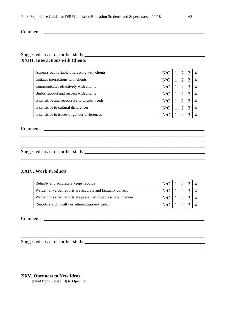Comments: \_\_\_\_\_\_\_\_\_\_\_\_\_\_\_\_\_\_\_\_\_\_\_\_\_\_\_\_\_\_\_\_\_\_\_\_\_\_\_\_\_\_\_\_\_\_\_\_\_\_\_\_\_\_\_\_\_\_\_\_\_\_\_\_\_\_\_\_

## Suggested areas for further study:\_\_\_\_\_\_\_\_\_\_\_\_\_\_\_\_\_\_\_\_\_\_\_\_\_\_\_\_\_\_\_\_\_\_\_\_\_\_\_\_\_\_\_\_\_\_\_\_\_\_\_ **XXIII. Interactions with Clients**

| Appears comfortable interacting with clients  | N/O |  |  |
|-----------------------------------------------|-----|--|--|
| Initiates interactions with clients           | N/O |  |  |
| Communicates effectively with clients         | N/O |  |  |
| Builds rapport and respect with clients       | N/O |  |  |
| Is sensitive and responsive to clients' needs | N/O |  |  |
| Is sensitive to cultural differences          | N/O |  |  |
| Is sensitive to issues of gender differences  |     |  |  |

\_\_\_\_\_\_\_\_\_\_\_\_\_\_\_\_\_\_\_\_\_\_\_\_\_\_\_\_\_\_\_\_\_\_\_\_\_\_\_\_\_\_\_\_\_\_\_\_\_\_\_\_\_\_\_\_\_\_\_\_\_\_\_\_\_\_\_\_\_\_\_\_\_\_\_\_\_\_ \_\_\_\_\_\_\_\_\_\_\_\_\_\_\_\_\_\_\_\_\_\_\_\_\_\_\_\_\_\_\_\_\_\_\_\_\_\_\_\_\_\_\_\_\_\_\_\_\_\_\_\_\_\_\_\_\_\_\_\_\_\_\_\_\_\_\_\_\_\_\_\_\_\_\_\_\_\_ \_\_\_\_\_\_\_\_\_\_\_\_\_\_\_\_\_\_\_\_\_\_\_\_\_\_\_\_\_\_\_\_\_\_\_\_\_\_\_\_\_\_\_\_\_\_\_\_\_\_\_\_\_\_\_\_\_\_\_\_\_\_\_\_\_\_\_\_\_\_\_\_\_\_\_\_\_\_

\_\_\_\_\_\_\_\_\_\_\_\_\_\_\_\_\_\_\_\_\_\_\_\_\_\_\_\_\_\_\_\_\_\_\_\_\_\_\_\_\_\_\_\_\_\_\_\_\_\_\_\_\_\_\_\_\_\_\_\_\_\_\_\_\_\_\_\_\_\_\_\_\_\_\_\_\_\_

\_\_\_\_\_\_\_\_\_\_\_\_\_\_\_\_\_\_\_\_\_\_\_\_\_\_\_\_\_\_\_\_\_\_\_\_\_\_\_\_\_\_\_\_\_\_\_\_\_\_\_\_\_\_\_\_\_\_\_\_\_\_\_\_\_\_\_\_\_\_\_\_\_\_\_\_\_\_

\_\_\_\_\_\_\_\_\_\_\_\_\_\_\_\_\_\_\_\_\_\_\_\_\_\_\_\_\_\_\_\_\_\_\_\_\_\_\_\_\_\_\_\_\_\_\_\_\_\_\_\_\_\_\_\_\_\_\_\_\_\_\_\_\_\_\_\_\_\_\_\_\_\_\_\_\_\_

Comments: \_\_\_\_\_\_\_\_\_\_\_\_\_\_\_\_\_\_\_\_\_\_\_\_\_\_\_\_\_\_\_\_\_\_\_\_\_\_\_\_\_\_\_\_\_\_\_\_\_\_\_\_\_\_\_\_\_\_\_\_\_\_\_\_\_\_\_\_

Suggested areas for further study:

#### **XXIV. Work Products**

| Reliably and accurately keeps records                          | $N/O$   1   2   3   4 |  |  |
|----------------------------------------------------------------|-----------------------|--|--|
| Written or verbal reports are accurate and factually correct   | N/O 1 2 3 4           |  |  |
| Written or verbal reports are presented in professional manner | $N/O$ 1 2 3 4         |  |  |
| Reports are clinically or administratively useful              | $N/O$ 1 2 3 4         |  |  |

\_\_\_\_\_\_\_\_\_\_\_\_\_\_\_\_\_\_\_\_\_\_\_\_\_\_\_\_\_\_\_\_\_\_\_\_\_\_\_\_\_\_\_\_\_\_\_\_\_\_\_\_\_\_\_\_\_\_\_\_\_\_\_\_\_\_\_\_\_\_\_\_\_\_\_\_\_\_

\_\_\_\_\_\_\_\_\_\_\_\_\_\_\_\_\_\_\_\_\_\_\_\_\_\_\_\_\_\_\_\_\_\_\_\_\_\_\_\_\_\_\_\_\_\_\_\_\_\_\_\_\_\_\_\_\_\_\_\_\_\_\_\_\_\_\_\_\_\_\_\_\_\_\_\_\_\_

\_\_\_\_\_\_\_\_\_\_\_\_\_\_\_\_\_\_\_\_\_\_\_\_\_\_\_\_\_\_\_\_\_\_\_\_\_\_\_\_\_\_\_\_\_\_\_\_\_\_\_\_\_\_\_\_\_\_\_\_\_\_\_\_\_\_\_\_\_\_\_\_\_\_\_\_\_\_

 $\mathcal{L}_\mathcal{L} = \{ \mathcal{L}_\mathcal{L} = \{ \mathcal{L}_\mathcal{L} = \{ \mathcal{L}_\mathcal{L} = \{ \mathcal{L}_\mathcal{L} = \{ \mathcal{L}_\mathcal{L} = \{ \mathcal{L}_\mathcal{L} = \{ \mathcal{L}_\mathcal{L} = \{ \mathcal{L}_\mathcal{L} = \{ \mathcal{L}_\mathcal{L} = \{ \mathcal{L}_\mathcal{L} = \{ \mathcal{L}_\mathcal{L} = \{ \mathcal{L}_\mathcal{L} = \{ \mathcal{L}_\mathcal{L} = \{ \mathcal{L}_\mathcal{$ 

Comments:

Suggested areas for further study:\_\_\_\_\_\_\_\_\_\_\_\_\_\_\_\_\_\_\_\_\_\_\_\_\_\_\_\_\_\_\_\_\_\_\_\_\_\_\_\_\_\_\_\_\_\_\_\_\_\_\_

#### **XXV. Openness to New Ideas**

(rated from Closed [0] to Open [4])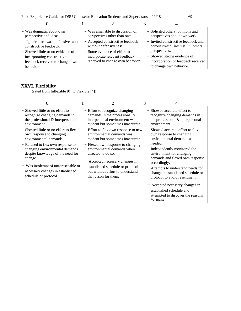Field Experience Guide for DSU Counselor Education Students and Supervisors – 11/18 69

| - Was dogmatic about own          | - Was amenable to discussion of  | - Solicited others' opinions and    |
|-----------------------------------|----------------------------------|-------------------------------------|
| perspective and ideas.            | perspectives other than own.     | perspectives about own work.        |
| - Ignored or was defensive about  | - Accepted constructive feedback | - Invited constructive feedback and |
| constructive feedback.            | without defensiveness.           | demonstrated interest in others'    |
| - Showed little or no evidence of | - Some evidence of effort to     | perspectives.                       |
| incorporating constructive        | incorporate relevant feedback    | - Showed strong evidence of         |
| feedback received to change own   | received to change own behavior. | incorporation of feedback received  |
| behavior.                         |                                  | to change own behavior.             |

## **XXVI. Flexibility**

(rated from Inflexible [0] to Flexible [4])

| - Showed little or no effort to<br>recognize changing demands in<br>the professional & interpersonal<br>environment.<br>- Showed little or no effort to flex                        | - Effort to recognize changing<br>demands in the professional $\&$<br>interpersonal environment was<br>evident but sometimes inaccurate.<br>- Effort to flex own response to new    | - Showed accurate effort to<br>recognize changing demands in<br>the professional & interpersonal<br>environment.<br>- Showed accurate effort to flex                                                                     |
|-------------------------------------------------------------------------------------------------------------------------------------------------------------------------------------|-------------------------------------------------------------------------------------------------------------------------------------------------------------------------------------|--------------------------------------------------------------------------------------------------------------------------------------------------------------------------------------------------------------------------|
| own response to changing<br>environmental demands.<br>- Refused to flex own response to                                                                                             | environmental demands was<br>evident but sometimes inaccurate.<br>- Flexed own response to changing                                                                                 | own response to changing<br>environmental demands as<br>needed.                                                                                                                                                          |
| changing environmental demands<br>despite knowledge of the need for<br>change.<br>- Was intolerant of unforeseeable or<br>necessary changes in established<br>schedule or protocol. | environmental demands when<br>directed to do so.<br>- Accepted necessary changes in<br>established schedule or protocol<br>but without effort to understand<br>the reason for them. | - Independently monitored the<br>environment for changing<br>demands and flexed own response<br>accordingly.<br>- Attempts to understand needs for<br>change in established schedule or<br>protocol to avoid resentment. |
|                                                                                                                                                                                     |                                                                                                                                                                                     | - Accepted necessary changes in<br>established schedule and<br>attempted to discover the reasons<br>for them.                                                                                                            |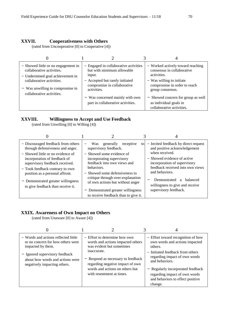#### **XXVII. Cooperativeness with Others**

(rated from Uncooperative [0] to Cooperative [4])

|                                                                                                                                                                                                    |                                                                                                                                                                | 4                                                                                                                                                               |
|----------------------------------------------------------------------------------------------------------------------------------------------------------------------------------------------------|----------------------------------------------------------------------------------------------------------------------------------------------------------------|-----------------------------------------------------------------------------------------------------------------------------------------------------------------|
| - Showed little or no engagement in<br>collaborative activities.<br>- Undermined goal achievement in<br>collaborative activities.<br>- Was unwilling to compromise in<br>collaborative activities. | - Engaged in collaborative activities<br>but with minimum allowable<br>input.<br>- Accepted but rarely initiated<br>compromise in collaborative<br>activities. | - Worked actively toward reaching<br>consensus in collaborative<br>activities.<br>- Was willing to initiate<br>compromise in order to reach<br>group consensus. |
|                                                                                                                                                                                                    | - Was concerned mainly with own<br>part in collaborative activities.                                                                                           | - Showed concern for group as well<br>as individual goals in<br>collaborative activities.                                                                       |

#### **XXVIII. Willingness to Accept and Use Feedback**

(rated from Unwilling [0] to Willing [4])

| - Discouraged feedback from others<br>through defensiveness and anger.                              | generally<br><b>Was</b><br>receptive<br>to<br>supervisory feedback.                   | - Invited feedback by direct request<br>and positive acknowledgement<br>when received. |
|-----------------------------------------------------------------------------------------------------|---------------------------------------------------------------------------------------|----------------------------------------------------------------------------------------|
| - Showed little or no evidence of<br>incorporation of feedback of<br>supervisory feedback received. | - Showed some evidence of<br>incorporating supervisory<br>feedback into own views and | - Showed evidence of active<br>incorporation of supervisory                            |
| - Took feedback contrary to own<br>position as a personal affront.                                  | behaviors.<br>- Showed some defensiveness to                                          | feedback received into own views<br>and behaviors.                                     |
| - Demonstrated greater willingness<br>to give feedback than receive it.                             | critique through over-explanation<br>of own actions but without anger                 | Demonstrated<br>a balanced<br>willingness to give and receive                          |
|                                                                                                     | - Demonstrated greater willingness<br>to receive feedback than to give it.            | supervisory feedback.                                                                  |

## **XXIX. Awareness of Own Impact on Others**

(rated from Unaware [0] to Aware [4])

| - Words and actions reflected little<br>or no concern for how others were<br>impacted by them.<br>- Ignored supervisory feedback<br>about how words and actions were<br>negatively impacting others. | - Effort to determine how own<br>words and actions impacted others<br>was evident but sometimes<br>inaccurate.<br>- Respond as necessary to feedback<br>regarding negative impact of own<br>words and actions on others but<br>with resentment at times. | - Effort toward recognition of how<br>own words and actions impacted<br>others.<br>- Initiated feedback from others<br>regarding impact of own words<br>and behaviors.<br>- Regularly incorporated feedback<br>regarding impact of own words<br>and behaviors to effect positive<br>change. |
|------------------------------------------------------------------------------------------------------------------------------------------------------------------------------------------------------|----------------------------------------------------------------------------------------------------------------------------------------------------------------------------------------------------------------------------------------------------------|---------------------------------------------------------------------------------------------------------------------------------------------------------------------------------------------------------------------------------------------------------------------------------------------|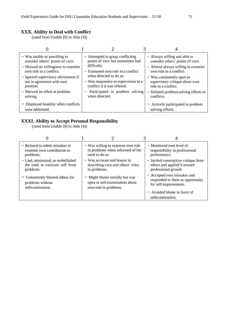#### **XXX. Ability to Deal with Conflict**

(rated from Unable [0] to Able [4])

| - Was unable or unwilling to<br>consider others' points of view.<br>- Showed no willingness to examine<br>own role in a conflict.<br>- Ignored supervisory advisement if<br>not in agreement with own<br>position.<br>- Showed no effort at problem<br>solving.<br>- Displayed hostility when conflicts | - Attempted to grasp conflicting<br>points of view but sometimes had<br>difficulty.<br>$-$ Examined own role in a conflict<br>when directed to do so.<br>- Was responsive to supervision in a<br>conflict if it was offered.<br>- Participated in problem solving<br>when directed. | - Always willing and able to<br>consider others' points of view.<br>- Almost always willing to examine<br>own role in a conflict.<br>- Was consistently open to<br>supervisory critique about own<br>role in a conflict.<br>- Initiated problem solving efforts in<br>conflicts.<br>- Actively participated in problem |
|---------------------------------------------------------------------------------------------------------------------------------------------------------------------------------------------------------------------------------------------------------------------------------------------------------|-------------------------------------------------------------------------------------------------------------------------------------------------------------------------------------------------------------------------------------------------------------------------------------|------------------------------------------------------------------------------------------------------------------------------------------------------------------------------------------------------------------------------------------------------------------------------------------------------------------------|
| were addressed.                                                                                                                                                                                                                                                                                         |                                                                                                                                                                                                                                                                                     | solving efforts.                                                                                                                                                                                                                                                                                                       |

## **XXXI. Ability to Accept Personal Responsibility**

(rated from Unable [0] to Able [4])

| - Refused to admit mistakes or    | - Was willing to examine own role | - Monitored own level of             |
|-----------------------------------|-----------------------------------|--------------------------------------|
| examine own contribution to       | in problems when informed of the  | responsibility in professional       |
| problems.                         | need to do so.                    | performance.                         |
| - Lied, minimized, or embellished | - Was accurate and honest in      | - Invited constructive critique from |
| the truth to extricate self from  | describing own and others' roles  | others and applied it toward         |
| problems.                         | in problems.                      | professional growth.                 |
| - Consistently blamed others for  | - Might blame initially but was   | - Accepted own mistakes and          |
| problems without                  | open to self-examination about    | responded to them as opportunity     |
| selfexamination.                  | own role in problems.             | for self-improvement.                |
|                                   |                                   | $-$ Avoided blame in favor of        |
|                                   |                                   | selfexamination.                     |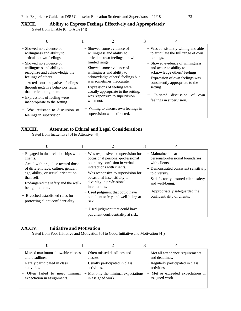#### **XXXII. Ability to Express Feelings Effectively and Appropriately**

(rated from Unable [0] to Able [4])

| - Showed no evidence of<br>willingness and ability to<br>articulate own feelings.<br>- Showed no evidence of<br>willingness and ability to<br>recognize and acknowledge the<br>feelings of others.<br>Acted out negative feelings<br>through negative behaviors rather<br>than articulating them.<br>- Expressions of feeling were<br>inappropriate to the setting. | - Showed some evidence of<br>willingness and ability to<br>articulate own feelings but with<br>limited range.<br>- Showed some evidence of<br>willingness and ability to<br>acknowledge others' feelings but<br>was sometimes inaccurate.<br>- Expressions of feeling were<br>usually appropriate to the setting;<br>was responsive to supervision<br>when not. | - Was consistently willing and able<br>to articulate the full range of own<br>feelings.<br>- Showed evidence of willingness<br>and accurate ability to<br>acknowledge others' feelings.<br>- Expression of own feelings was<br>consistently appropriate to the<br>setting.<br>Initiated discussion of<br>own<br>feelings in supervision. |
|---------------------------------------------------------------------------------------------------------------------------------------------------------------------------------------------------------------------------------------------------------------------------------------------------------------------------------------------------------------------|-----------------------------------------------------------------------------------------------------------------------------------------------------------------------------------------------------------------------------------------------------------------------------------------------------------------------------------------------------------------|------------------------------------------------------------------------------------------------------------------------------------------------------------------------------------------------------------------------------------------------------------------------------------------------------------------------------------------|
| Was resistant to discussion of<br>feelings in supervision.                                                                                                                                                                                                                                                                                                          | - Willing to discuss own feelings in<br>supervision when directed.                                                                                                                                                                                                                                                                                              |                                                                                                                                                                                                                                                                                                                                          |

## **XXXIII. Attention to Ethical and Legal Considerations**

(rated from Inattentive [0] to Attentive [4])

| - Engaged in dual relationships with<br>clients.<br>- Acted with prejudice toward those<br>of different race, culture, gender,<br>age, ability, or sexual orientation<br>than self.<br>- Endangered the safety and the well-<br>being of clients.<br>- Breached established rules for<br>protecting client confidentiality. | - Was responsive to supervision for<br>occasional personal-professional<br>boundary confusion in verbal<br>interactions with clients.<br>- Was responsive to supervision for<br>occasional insensitivity to<br>diversity in professional<br>interactions.<br>- Used judgment that could have<br>put client safety and well-being at<br>risk.<br>- Used judgment that could have<br>put client confidentiality at risk. | - Maintained clear<br>personalprofessional boundaries<br>with clients.<br>- Demonstrated consistent sensitivity<br>to diversity.<br>- Satisfactorily ensured client safety<br>and well-being.<br>- Appropriately safeguarded the<br>confidentiality of clients. |
|-----------------------------------------------------------------------------------------------------------------------------------------------------------------------------------------------------------------------------------------------------------------------------------------------------------------------------|------------------------------------------------------------------------------------------------------------------------------------------------------------------------------------------------------------------------------------------------------------------------------------------------------------------------------------------------------------------------------------------------------------------------|-----------------------------------------------------------------------------------------------------------------------------------------------------------------------------------------------------------------------------------------------------------------|

## **XXXIV. Initiative and Motivation**

(rated from Poor Initiative and Motivation [0] to Good Initiative and Motivation [4])

| - Missed maximum allowable classes | - Often missed deadlines and        | - Met all attendance requirements |
|------------------------------------|-------------------------------------|-----------------------------------|
| and deadlines.                     | classes.                            | and deadlines.                    |
| - Rarely participated in class     | - Usually participated in class     | - Regularly participated in class |
| activities.                        | activities.                         | activities.                       |
| Often failed to meet minimal       | - Met only the minimal expectations | - Met or exceeded expectations in |
| expectation in assignments.        | in assigned work.                   | assigned work.                    |
|                                    |                                     |                                   |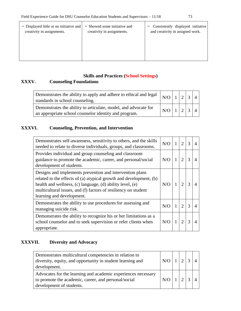| - Displayed little or no initiative and<br>creativity in assignments. | - Showed some initiative and<br>creativity in assignments. | Consistently displayed initiative<br>and creativity in assigned work. |
|-----------------------------------------------------------------------|------------------------------------------------------------|-----------------------------------------------------------------------|
|                                                                       |                                                            |                                                                       |
|                                                                       |                                                            |                                                                       |

## **Skills and Practices (School Settings)**

## **XXXV. Counseling Foundations**

| Demonstrates the ability to apply and adhere to ethical and legal $\left  N/O \right  1 \left  2 \left  3 \right  4 \right $<br>standards in school counseling. |                                                                        |  |  |
|-----------------------------------------------------------------------------------------------------------------------------------------------------------------|------------------------------------------------------------------------|--|--|
| Demonstrates the ability to articulate, model, and advocate for<br>an appropriate school counselor identity and program.                                        | $\left  N\right  \left  1 \right  \left  2 \right  \left  3 \right $ 4 |  |  |

### **XXXVI. Counseling, Prevention, and Intervention**

| Demonstrates self-awareness, sensitivity to others, and the skills<br>needed to relate to diverse individuals, groups, and classrooms.                                                                                                                                                     | N/O |   | $\overline{2}$              | 3             |  |
|--------------------------------------------------------------------------------------------------------------------------------------------------------------------------------------------------------------------------------------------------------------------------------------------|-----|---|-----------------------------|---------------|--|
| Provides individual and group counseling and classroom<br>guidance to promote the academic, career, and personal/social<br>development of students.                                                                                                                                        | N/O |   | $\mathcal{D}$               | 3             |  |
| Designs and implements prevention and intervention plans<br>related to the effects of (a) atypical growth and development, (b)<br>health and wellness, (c) language, (d) ability level, (e)<br>multicultural issues, and (f) factors of resiliency on student<br>learning and development. | N/O |   | $\mathcal{D}_{\mathcal{A}}$ | 3             |  |
| Demonstrates the ability to use procedures for assessing and<br>managing suicide risk.                                                                                                                                                                                                     | N/O | 1 | $\mathcal{D}_{\mathcal{A}}$ | $\mathcal{R}$ |  |
| Demonstrates the ability to recognize his or her limitations as a<br>school counselor and to seek supervision or refer clients when<br>appropriate.                                                                                                                                        | N/O |   | $\mathfrak{D}$              | 3             |  |

## **XXXVII. Diversity and Advocacy**

| Demonstrates multicultural competencies in relation to<br>diversity, equity, and opportunity in student learning and<br>development.              | N/O |  |  |
|---------------------------------------------------------------------------------------------------------------------------------------------------|-----|--|--|
| Advocates for the learning and academic experiences necessary<br>to promote the academic, career, and personal/social<br>development of students. |     |  |  |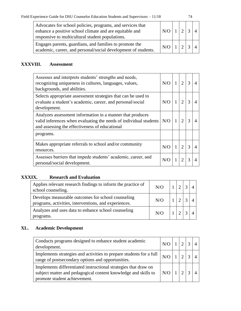| Advocates for school policies, programs, and services that<br>enhance a positive school climate and are equitable and<br>responsive to multicultural student populations. |     |  |  |
|---------------------------------------------------------------------------------------------------------------------------------------------------------------------------|-----|--|--|
| Engages parents, guardians, and families to promote the<br>academic, career, and personal/social development of students.                                                 | N/O |  |  |

## **XXXVIII. Assessment**

| Assesses and interprets students' strengths and needs,<br>recognizing uniqueness in cultures, languages, values,<br>backgrounds, and abilities.                                  | N/O | 1 | $\mathfrak{D}$ | 3 |  |
|----------------------------------------------------------------------------------------------------------------------------------------------------------------------------------|-----|---|----------------|---|--|
| Selects appropriate assessment strategies that can be used to<br>evaluate a student's academic, career, and personal/social<br>development.                                      | N/O | 1 | $\overline{c}$ | 3 |  |
| Analyzes assessment information in a manner that produces<br>valid inferences when evaluating the needs of individual students<br>and assessing the effectiveness of educational | N/O | 1 | っ              | 3 |  |
| programs.                                                                                                                                                                        |     |   |                |   |  |
| Makes appropriate referrals to school and/or community<br>resources.                                                                                                             | N/O | 1 | $\mathcal{D}$  | 3 |  |
| Assesses barriers that impede students' academic, career, and<br>personal/social development.                                                                                    | N/O |   | ႒              | 3 |  |

#### **XXXIX. Research and Evaluation**

| Applies relevant research findings to inform the practice of<br>school counseling.                          | N/O |  |  |
|-------------------------------------------------------------------------------------------------------------|-----|--|--|
| Develops measurable outcomes for school counseling<br>programs, activities, interventions, and experiences. | N/O |  |  |
| Analyzes and uses data to enhance school counseling<br>programs.                                            | N/O |  |  |

#### **XL. Academic Development**

| Conducts programs designed to enhance student academic<br>development.                                                                                            |     |  |  |
|-------------------------------------------------------------------------------------------------------------------------------------------------------------------|-----|--|--|
| Implements strategies and activities to prepare students for a full  <br>range of postsecondary options and opportunities.                                        |     |  |  |
| Implements differentiated instructional strategies that draw on<br>subject matter and pedagogical content knowledge and skills to<br>promote student achievement. | N/O |  |  |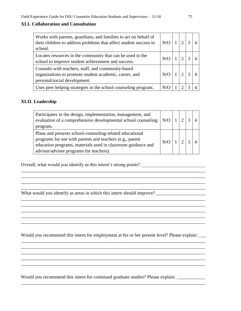#### **XLI. Collaboration and Consultation**

| Works with parents, guardians, and families to act on behalf of<br>their children to address problems that affect student success in<br>school. | N/O |  |  |
|-------------------------------------------------------------------------------------------------------------------------------------------------|-----|--|--|
| Locates resources in the community that can be used in the<br>school to improve student achievement and success.                                |     |  |  |
| Consults with teachers, staff, and community-based<br>organizations to promote student academic, career, and<br>personal/social development.    |     |  |  |
| Uses peer helping strategies in the school counseling program.                                                                                  |     |  |  |

#### **XLII. Leadership**

| Participates in the design, implementation, management, and<br>evaluation of a comprehensive developmental school counseling $ N/O $<br>program.                                                                                |     | $\sqrt{2}$ |  |
|---------------------------------------------------------------------------------------------------------------------------------------------------------------------------------------------------------------------------------|-----|------------|--|
| Plans and presents school-counseling-related educational<br>programs for use with parents and teachers (e.g., parent<br>education programs, materials used in classroom guidance and<br>advisor/advisee programs for teachers). | N/O |            |  |

\_\_\_\_\_\_\_\_\_\_\_\_\_\_\_\_\_\_\_\_\_\_\_\_\_\_\_\_\_\_\_\_\_\_\_\_\_\_\_\_\_\_\_\_\_\_\_\_\_\_\_\_\_\_\_\_\_\_\_\_\_\_\_\_\_\_\_\_\_\_\_\_\_\_\_\_\_\_ \_\_\_\_\_\_\_\_\_\_\_\_\_\_\_\_\_\_\_\_\_\_\_\_\_\_\_\_\_\_\_\_\_\_\_\_\_\_\_\_\_\_\_\_\_\_\_\_\_\_\_\_\_\_\_\_\_\_\_\_\_\_\_\_\_\_\_\_\_\_\_\_\_\_\_\_\_\_

\_\_\_\_\_\_\_\_\_\_\_\_\_\_\_\_\_\_\_\_\_\_\_\_\_\_\_\_\_\_\_\_\_\_\_\_\_\_\_\_\_\_\_\_\_\_\_\_\_\_\_\_\_\_\_\_\_\_\_\_\_\_\_\_\_\_\_\_\_\_\_\_\_\_\_\_\_\_ \_\_\_\_\_\_\_\_\_\_\_\_\_\_\_\_\_\_\_\_\_\_\_\_\_\_\_\_\_\_\_\_\_\_\_\_\_\_\_\_\_\_\_\_\_\_\_\_\_\_\_\_\_\_\_\_\_\_\_\_\_\_\_\_\_\_\_\_\_\_\_\_\_\_\_\_\_\_

\_\_\_\_\_\_\_\_\_\_\_\_\_\_\_\_\_\_\_\_\_\_\_\_\_\_\_\_\_\_\_\_\_\_\_\_\_\_\_\_\_\_\_\_\_\_\_\_\_\_\_\_\_\_\_\_\_\_\_\_\_\_\_\_\_\_\_\_\_\_\_\_\_\_\_\_\_\_

Overall, what would you identify as this intern's strong points? \_\_\_\_\_\_\_\_\_\_\_\_\_\_\_\_\_\_\_\_\_\_\_\_\_\_\_

What would you identify as areas in which this intern should improve? \_\_\_\_\_\_\_\_\_\_\_\_\_\_\_\_\_\_\_\_\_

Would you recommend this intern for employment at his or her present level? Please explain: \_\_\_\_\_

\_\_\_\_\_\_\_\_\_\_\_\_\_\_\_\_\_\_\_\_\_\_\_\_\_\_\_\_\_\_\_\_\_\_\_\_\_\_\_\_\_\_\_\_\_\_\_\_\_\_\_\_\_\_\_\_\_\_\_\_\_\_\_\_\_\_\_\_\_\_\_\_\_\_\_\_\_\_

\_\_\_\_\_\_\_\_\_\_\_\_\_\_\_\_\_\_\_\_\_\_\_\_\_\_\_\_\_\_\_\_\_\_\_\_\_\_\_\_\_\_\_\_\_\_\_\_\_\_\_\_\_\_\_\_\_\_\_\_\_\_\_\_\_\_\_\_\_\_\_\_\_\_\_\_\_\_

\_\_\_\_\_\_\_\_\_\_\_\_\_\_\_\_\_\_\_\_\_\_\_\_\_\_\_\_\_\_\_\_\_\_\_\_\_\_\_\_\_\_\_\_\_\_\_\_\_\_\_\_\_\_\_\_\_\_\_\_\_\_\_\_\_\_\_\_\_\_\_\_\_\_\_\_\_\_

 $\mathcal{L}_\text{max}$  , and the state of the state of the state of the state of the state of the state of the state of the state of the state of the state of the state of the state of the state of the state of the state of the st \_\_\_\_\_\_\_\_\_\_\_\_\_\_\_\_\_\_\_\_\_\_\_\_\_\_\_\_\_\_\_\_\_\_\_\_\_\_\_\_\_\_\_\_\_\_\_\_\_\_\_\_\_\_\_\_\_\_\_\_\_\_\_\_\_\_\_\_\_\_\_\_\_\_\_\_\_\_

\_\_\_\_\_\_\_\_\_\_\_\_\_\_\_\_\_\_\_\_\_\_\_\_\_\_\_\_\_\_\_\_\_\_\_\_\_\_\_\_\_\_\_\_\_\_\_\_\_\_\_\_\_\_\_\_\_\_\_\_\_\_\_\_\_\_\_\_\_\_\_\_\_\_\_\_\_\_

Would you recommend this intern for continued graduate studies? Please explain: \_\_\_\_\_\_\_\_\_\_\_\_\_

\_\_\_\_\_\_\_\_\_\_\_\_\_\_\_\_\_\_\_\_\_\_\_\_\_\_\_\_\_\_\_\_\_\_\_\_\_\_\_\_\_\_\_\_\_\_\_\_\_\_\_\_\_\_\_\_\_\_\_\_\_\_\_\_\_\_\_\_\_\_\_\_\_\_\_\_\_\_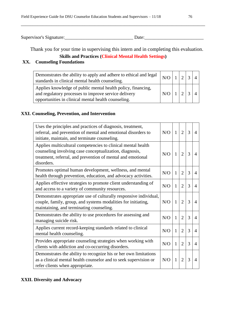Supervisor's Signature:\_\_\_\_\_\_\_\_\_\_\_\_\_\_\_\_\_\_\_\_\_\_\_\_\_\_\_\_\_ Date:\_\_\_\_\_\_\_\_\_\_\_\_\_\_\_\_\_\_\_\_\_\_\_\_\_

\_\_\_\_\_\_\_\_\_\_\_\_\_\_\_\_\_\_\_\_\_\_\_\_\_\_\_\_\_\_\_\_\_\_\_\_\_\_\_\_\_\_\_\_\_\_\_\_\_\_\_\_\_\_\_\_\_\_\_\_\_\_\_\_\_\_\_\_\_\_\_\_\_\_\_\_\_\_

Thank you for your time in supervising this intern and in completing this evaluation.

# **Skills and Practices (Clinical Mental Health Settings)**

## **XX. Counseling Foundations**

| Demonstrates the ability to apply and adhere to ethical and legal $\big  N/O$<br>standards in clinical mental health counseling.                                            |  |  |  |
|-----------------------------------------------------------------------------------------------------------------------------------------------------------------------------|--|--|--|
| Applies knowledge of public mental health policy, financing,<br>and regulatory processes to improve service delivery<br>opportunities in clinical mental health counseling. |  |  |  |

#### **XXI. Counseling, Prevention, and Intervention**

| Uses the principles and practices of diagnosis, treatment,<br>referral, and prevention of mental and emotional disorders to<br>initiate, maintain, and terminate counseling.                         | N/O | $\mathbf{1}$ | $\overline{2}$ | 3 | $\overline{4}$ |
|------------------------------------------------------------------------------------------------------------------------------------------------------------------------------------------------------|-----|--------------|----------------|---|----------------|
| Applies multicultural competencies to clinical mental health<br>counseling involving case conceptualization, diagnosis,<br>treatment, referral, and prevention of mental and emotional<br>disorders. | N/O | $\mathbf{1}$ | $\overline{2}$ | 3 | $\overline{4}$ |
| Promotes optimal human development, wellness, and mental<br>health through prevention, education, and advocacy activities.                                                                           | N/O | $\mathbf{1}$ | $\overline{2}$ | 3 | $\overline{4}$ |
| Applies effective strategies to promote client understanding of<br>and access to a variety of community resources.                                                                                   | N/O | 1            | $\overline{2}$ | 3 | 4              |
| Demonstrates appropriate use of culturally responsive individual,<br>couple, family, group, and systems modalities for initiating,<br>maintaining, and terminating counseling.                       | N/O | $\mathbf{1}$ | $\overline{2}$ | 3 | $\overline{4}$ |
| Demonstrates the ability to use procedures for assessing and<br>managing suicide risk.                                                                                                               | N/O | $\mathbf{1}$ | $\overline{2}$ | 3 | 4              |
| Applies current record-keeping standards related to clinical<br>mental health counseling.                                                                                                            | N/O | $\mathbf{1}$ | $\overline{2}$ | 3 | $\overline{4}$ |
| Provides appropriate counseling strategies when working with<br>clients with addiction and co-occurring disorders.                                                                                   | N/O | $\mathbf{1}$ | $\overline{2}$ | 3 | 4              |
| Demonstrates the ability to recognize his or her own limitations<br>as a clinical mental health counselor and to seek supervision or<br>refer clients when appropriate.                              | N/O | $\mathbf{1}$ | $\overline{2}$ | 3 | 4              |

#### **XXII. Diversity and Advocacy**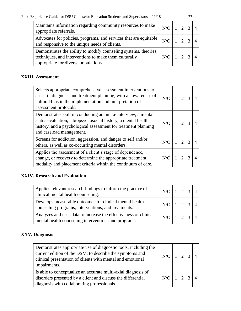| Maintains information regarding community resources to make<br>appropriate referrals.                                                                             |  |  |  |
|-------------------------------------------------------------------------------------------------------------------------------------------------------------------|--|--|--|
| Advocates for policies, programs, and services that are equitable $ N/O _1$<br>and responsive to the unique needs of clients.                                     |  |  |  |
| Demonstrates the ability to modify counseling systems, theories,<br>techniques, and interventions to make them culturally<br>appropriate for diverse populations. |  |  |  |

### **XXIII. Assessment**

| Selects appropriate comprehensive assessment interventions to<br>assist in diagnosis and treatment planning, with an awareness of<br>cultural bias in the implementation and interpretation of<br>assessment protocols.       | N/O        | $\mathcal{D}$ | 3 |  |
|-------------------------------------------------------------------------------------------------------------------------------------------------------------------------------------------------------------------------------|------------|---------------|---|--|
| Demonstrates skill in conducting an intake interview, a mental<br>status evaluation, a biopsychosocial history, a mental health<br>history, and a psychological assessment for treatment planning<br>and caseload management. | N/O        |               |   |  |
| Screens for addiction, aggression, and danger to self and/or<br>others, as well as co-occurring mental disorders.                                                                                                             | $N/\Omega$ | っ             |   |  |
| Applies the assessment of a client's stage of dependence,<br>change, or recovery to determine the appropriate treatment<br>modality and placement criteria within the continuum of care.                                      | N/O        |               |   |  |

## **XXIV. Research and Evaluation**

| Applies relevant research findings to inform the practice of<br>clinical mental health counseling.                       | $N/O$ 1 2 3 4                             |  |  |
|--------------------------------------------------------------------------------------------------------------------------|-------------------------------------------|--|--|
| Develops measurable outcomes for clinical mental health<br>counseling programs, interventions, and treatments.           | $N/O$ 1 2 3 4                             |  |  |
| Analyzes and uses data to increase the effectiveness of clinical<br>mental health counseling interventions and programs. | $\vert N/O \vert 1 \vert 2 \vert 3 \vert$ |  |  |

#### **XXV. Diagnosis**

| Demonstrates appropriate use of diagnostic tools, including the<br>current edition of the DSM, to describe the symptoms and<br>clinical presentation of clients with mental and emotional<br>impairments. | N/O |  |  |
|-----------------------------------------------------------------------------------------------------------------------------------------------------------------------------------------------------------|-----|--|--|
| Is able to conceptualize an accurate multi-axial diagnosis of<br>disorders presented by a client and discuss the differential<br>diagnosis with collaborating professionals.                              | N/O |  |  |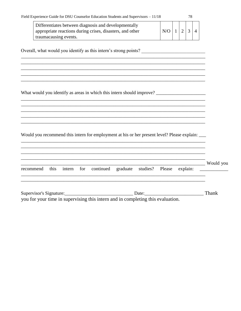|  |  | Field Experience Guide for DSU Counselor Education Students and Supervisors $-11/18$ |
|--|--|--------------------------------------------------------------------------------------|
|--|--|--------------------------------------------------------------------------------------|

| Differentiates between diagnosis and developmentally      |     |  |  |
|-----------------------------------------------------------|-----|--|--|
| appropriate reactions during crises, disasters, and other | N/O |  |  |
| traumacausing events.                                     |     |  |  |

and the control of the control of the control of the control of the control of the control of the control of the

<u> 1989 - Jan James James James James James James James James James James James James James James James James J</u>

Overall, what would you identify as this intern's strong points? \_\_\_\_\_\_\_\_\_\_\_\_\_\_\_\_\_\_\_\_\_\_\_\_\_\_\_\_\_\_\_\_\_\_\_

Would you recommend this intern for employment at his or her present level? Please explain:

|       |  |  |  |  |  |  |  |       | Would you<br>recommend this intern for continued graduate studies? Please explain: ___________ |
|-------|--|--|--|--|--|--|--|-------|------------------------------------------------------------------------------------------------|
|       |  |  |  |  |  |  |  |       |                                                                                                |
| Date: |  |  |  |  |  |  |  | Thank |                                                                                                |

you for your time in supervising this intern and in completing this evaluation.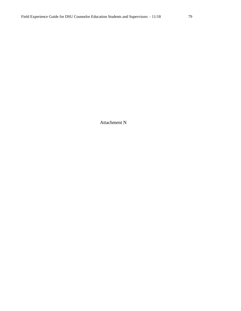Attachment N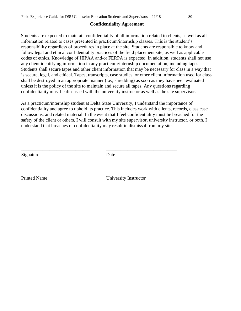#### **Confidentiality Agreement**

Students are expected to maintain confidentiality of all information related to clients, as well as all information related to cases presented in practicum/internship classes. This is the student's responsibility regardless of procedures in place at the site. Students are responsible to know and follow legal and ethical confidentiality practices of the field placement site, as well as applicable codes of ethics. Knowledge of HIPAA and/or FERPA is expected. In addition, students shall not use any client identifying information in any practicum/internship documentation, including tapes. Students shall secure tapes and other client information that may be necessary for class in a way that is secure, legal, and ethical. Tapes, transcripts, case studies, or other client information used for class shall be destroyed in an appropriate manner (i.e., shredding) as soon as they have been evaluated unless it is the policy of the site to maintain and secure all tapes. Any questions regarding confidentiality must be discussed with the university instructor as well as the site supervisor.

As a practicum/internship student at Delta State University, I understand the importance of confidentiality and agree to uphold its practice. This includes work with clients, records, class case discussions, and related material. In the event that I feel confidentiality must be breached for the safety of the client or others, I will consult with my site supervisor, university instructor, or both. I understand that breaches of confidentiality may result in dismissal from my site.

Signature Date

\_\_\_\_\_\_\_\_\_\_\_\_\_\_\_\_\_\_\_\_\_\_\_\_\_\_\_\_\_ \_\_\_\_\_\_\_\_\_\_\_\_\_\_\_\_\_\_\_\_\_\_\_\_\_\_\_\_\_\_

\_\_\_\_\_\_\_\_\_\_\_\_\_\_\_\_\_\_\_\_\_\_\_\_\_\_\_\_\_ \_\_\_\_\_\_\_\_\_\_\_\_\_\_\_\_\_\_\_\_\_\_\_\_\_\_\_\_\_\_

Printed Name University Instructor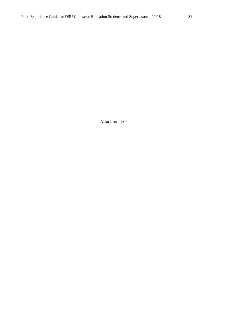Attachment O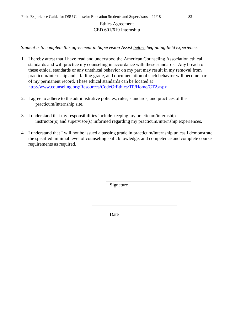## Ethics Agreement CED 601/619 Internship

*Student is to complete this agreement in Supervision Assist before beginning field experience.* 

- 1. I hereby attest that I have read and understood the American Counseling Association ethical standards and will practice my counseling in accordance with these standards. Any breach of these ethical standards or any unethical behavior on my part may result in my removal from practicum/internship and a failing grade, and documentation of such behavior will become part of my permanent record. These ethical standards can be located at http://www.counseling.org/Resources/CodeOfEthics/TP/Home/CT2.aspx
- 2. I agree to adhere to the administrative policies, rules, standards, and practices of the practicum/internship site.
- 3. I understand that my responsibilities include keeping my practicum/internship instructor(s) and supervisor(s) informed regarding my practicum/internship experiences.
- 4. I understand that I will not be issued a passing grade in practicum/internship unless I demonstrate the specified minimal level of counseling skill, knowledge, and competence and complete course requirements as required.

Signature

Date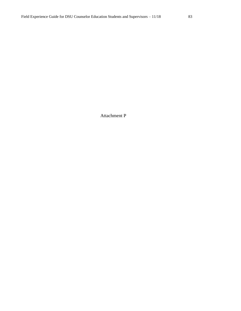Attachment P